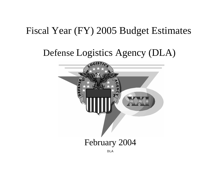# Fiscal Year (FY) 2005 Budget Estimates

# Defense Logistics Agency (DLA)

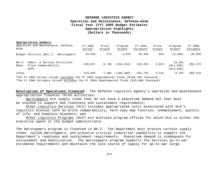# **DEFENSE LOGISTICS AGENCY Operation and Maintenance, Defense-Wide Fiscal Year (FY) 2005 Budget Estimates Appropriation Highlights (Dollars in Thousands)**

#### **Appropriation Summary:**

| Operation and Maintenance, Defense-<br>Wide                                           | FY 2003<br>Actual <sup>1</sup> | Price<br>Growth | Program<br>Growth | FY 2004<br>Estimate <sup>2</sup> | Price<br>Growth | Program<br>Growth                      | FY 2005<br>Estimate |
|---------------------------------------------------------------------------------------|--------------------------------|-----------------|-------------------|----------------------------------|-----------------|----------------------------------------|---------------------|
| Budget Activity (BA) 2:<br>Warstoppers                                                | 44,018                         | 572             | 4,876             | 49,466                           | 693             | (9, 560)                               | 40,599              |
| Admin. & Service Activities<br>$BA-4:$<br>Price Comparability<br>Memo:<br><b>DCPO</b> | 429,827                        | 6,730           | (194, 264)        | 242,293                          | 3,822           | 19,264<br>$(S+1, 020)$<br>$(S+5, 820)$ | 265,379             |
| Total                                                                                 | 473,845                        | 7,302           | (189, 388)        | 291,759                          | 4,515           | 9,704                                  | 305,978             |
| $\sim$ $\sim$                                                                         |                                |                 |                   |                                  |                 |                                        |                     |

<sup>1</sup>The FY 2003 Actual column includes the FY 2003 Supplemental funds (\$189,700 thousand)

<sup>2</sup>The FY 2004 Estimate column excludes the FY 2004 Supplemental funds (\$15,000 thousand)

**Description of Operations Financed:** The Defense Logistics Agency's operation and maintenance appropriation finances three activities:

Warstoppers are supply items that do not have a peacetime demand but that must be stocked to support DoD readiness and sustainment requirements;

Other Logistics Services (OLS) includes appropriated costs associated with DLA's logistics mission such as price comparability, hard copy map function, unemployment, quality of life, and homeless blankets; and

Other Logistics Programs (OLP) are multiple program offices for which DLA is either the executive agent or the budget administrator.

The Warstoppers program is financed in BA-2. The Department must procure certain supply items, called Warstoppers, and preserve critical industrial capability to support the Department's readiness and sustainment requirements. Peacetime demand is inadequate for sustainment and mobilization. The Warstoppers program supports the Services go-to-war estimated requirements and maintains the sole-source of supply for go-to-war surge.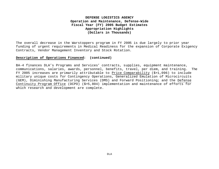# **DEFENSE LOGISTICS AGENCY Operation and Maintenance, Defense-Wide Fiscal Year (FY) 2005 Budget Estimates Appropriation Highlights (Dollars in Thousands)**

The overall decrease in the Warstoppers program in FY 2005 is due largely to prior year funding of urgent requirements in Medical Readiness for the expansion of Corporate Exigency Contracts, Vendor Management Inventory and Stock Rotation.

#### **Description of Operations Financed: (continued)**

BA-4 finances DLA's Programs and Services' contracts, supplies, equipment maintenance, communications, salaries, awards, personnel, benefits, travel, per diem, and training. The FY 2005 increases are primarily attributable to Price Comparability (\$+1,096) to include military unique costs for Contingency Operations, Generalized Emulation of Microcircuits (GEM), Diminishing Manufacturing Services (DMS) and Forward Positioning; and the Defense Continuity Program Office (DCPO) (\$+5,804) implementation and maintenance of efforts for which research and development are complete.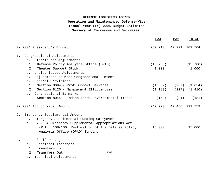| BA4    | BA2                                                       | TOTAL                                                                                                 |
|--------|-----------------------------------------------------------|-------------------------------------------------------------------------------------------------------|
|        |                                                           | 49,991 309,704                                                                                        |
|        |                                                           |                                                                                                       |
|        |                                                           |                                                                                                       |
|        |                                                           | (15, 700)                                                                                             |
|        |                                                           | 1,000                                                                                                 |
|        |                                                           |                                                                                                       |
|        |                                                           |                                                                                                       |
|        |                                                           |                                                                                                       |
|        |                                                           |                                                                                                       |
|        |                                                           | $(227)$ $(1, 410)$                                                                                    |
|        |                                                           |                                                                                                       |
|        | (31)                                                      | (181)                                                                                                 |
|        |                                                           |                                                                                                       |
|        |                                                           |                                                                                                       |
|        |                                                           |                                                                                                       |
|        |                                                           |                                                                                                       |
| 15,000 |                                                           | 15,000                                                                                                |
|        |                                                           |                                                                                                       |
|        |                                                           |                                                                                                       |
|        |                                                           |                                                                                                       |
|        |                                                           |                                                                                                       |
|        |                                                           |                                                                                                       |
|        | 1,000<br>(P.L. 108-106) Restoration of the Defense Policy | 259,713<br>(15, 700)<br>$(1,387)$ $(267)$ $(1,654)$<br>(1, 183)<br>(150)<br>242, 293 49, 466 291, 759 |

b. Technical Adjustments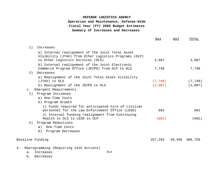|                                                                                                                                                | BA4      | BA <sub>2</sub><br>TOTAL |
|------------------------------------------------------------------------------------------------------------------------------------------------|----------|--------------------------|
| 1)<br>Increases                                                                                                                                |          |                          |
| a) Internal realignment of the Joint Total Asset<br>Visibility (JTAV) from Other Logistics Programs (OLP)<br>to Other Logistics Services (OLS) | 2,087    | 2,087                    |
| b) Internal realignment of the Joint Electronic<br>Commerce Program Office (JECPO) from OLP to OLS                                             | 7,748    | 7,748                    |
| 2)<br>Decreases                                                                                                                                |          |                          |
| a) Realignment of the Joint Total Asset Visibility                                                                                             |          |                          |
| (JTAV) to OLS                                                                                                                                  | (7, 748) | (7, 748)                 |
| b) Realignment of the JECPO to OLS                                                                                                             | (2,087)  | (2,087)                  |
| Emergent Requirements<br>$\mathsf{C}$ .                                                                                                        |          |                          |
| Program Increases<br>1)                                                                                                                        |          |                          |
| a) One-Time Costs                                                                                                                              |          |                          |
| b) Program Growth                                                                                                                              |          |                          |
| 1) Funds required for anticipated hire of civilian<br>personnel for the Law Enforcement Office (LESO)                                          | 601      | 601                      |
| 2) Internal funding realignment from Continuing                                                                                                |          |                          |
| Health in OLS to LESO in OLP                                                                                                                   | (601)    | (601)                    |
| Program Reductions<br>2)                                                                                                                       |          |                          |
| One-Time Costs<br>a)                                                                                                                           |          |                          |
| Program Decreases<br>b)                                                                                                                        |          |                          |
| Baseline Funding                                                                                                                               | 257,293  | 49,466<br>306,759        |
|                                                                                                                                                |          |                          |
| Reprogramming (Requiring 1415 Actions)<br>4.                                                                                                   |          |                          |
| DLA<br>Increases<br>$a$ .                                                                                                                      |          |                          |
| b.<br>Decreases                                                                                                                                |          |                          |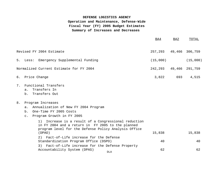|          |                                                                                                                                                                                | BA4      | BA2    | TOTAL          |
|----------|--------------------------------------------------------------------------------------------------------------------------------------------------------------------------------|----------|--------|----------------|
|          | Revised FY 2004 Estimate                                                                                                                                                       | 257,293  |        | 49,466 306,759 |
|          | 5. Less: Emergency Supplemental Funding                                                                                                                                        | (15,000) |        | (15,000)       |
|          | Normalized Current Estimate for FY 2004                                                                                                                                        | 242,293  | 49,466 | 291,759        |
|          | 6. Price Change                                                                                                                                                                | 3,822    | 693    | 4,515          |
| 7.<br>8. | Functional Transfers<br>Transfers In<br>a.<br>Transfers Out<br>b.<br>Program Increases                                                                                         |          |        |                |
|          | Annualization of New FY 2004 Program<br>a.                                                                                                                                     |          |        |                |
|          | One-Time FY 2005 Costs<br>b.<br>c. Program Growth in FY 2005                                                                                                                   |          |        |                |
|          | Increase is a result of a Congressional reduction<br>1)<br>in FY 2004 and a return in FY 2005 to the planned<br>program level for the Defense Policy Analysis Office<br>(DPAO) | 15,838   |        | 15,838         |
|          | 2) Fact-of-Life increase for the Defense                                                                                                                                       |          |        |                |
|          | Standardization Program Office (DSPO)<br>3) Fact-of-Life increase for the Defense Property                                                                                     | 40       |        | 40             |
|          | Accountability System (DPAS)<br><b>DLA</b>                                                                                                                                     | 62       |        | 62             |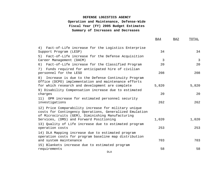|                                                                                                                                                                     | <b>BA4</b>     | BA2 | TOTAL          |
|---------------------------------------------------------------------------------------------------------------------------------------------------------------------|----------------|-----|----------------|
| Fact-of-Life increase for the Logistics Enterprise<br>4)<br>Support Program (LESP)                                                                                  | 34             |     | 34             |
| Fact-of-Life increase for the Defense Acquisition<br>5)                                                                                                             |                |     |                |
| Career Management (DACM)                                                                                                                                            | $\overline{3}$ |     | $\overline{3}$ |
| 6) Fact-of-Life increase for the Classified Program                                                                                                                 | 20             |     | 20             |
| Funds required for anticipated hire of civilian<br>7)<br>personnel for the LESO                                                                                     | 208            |     | 208            |
| 8)<br>Increase is due to the Defense Continuity Program<br>Office (DCPO) implementation and maintenance efforts<br>for which research and development are complete  | 5,820          |     | 5,820          |
| 9) Disability Compensation increase due to estimated<br>charges                                                                                                     | 20             |     | 20             |
| 11) OPM increase for estimated personnel security<br>investigations                                                                                                 | 262            |     | 262            |
| 12) Price Comparability increase for military unique<br>costs for Contingency Operations, Generalized Emulation<br>of Microciruits (GEM), Diminishing Manufacturing |                |     |                |
| Services, (DMS) and Forward Positioning                                                                                                                             | 1,020          |     | 1,020          |
| 13) Quality of Life increase due to estimated program<br>operation costs                                                                                            | 253            |     | 253            |
| 14) DLA Mapping increase due to estimated program<br>operation costs for program baseline map distribution                                                          |                |     |                |
| and system maintenance                                                                                                                                              | 703            |     | 703            |
| 15) Blankets increase due to estimated program<br>requirements                                                                                                      | 58             |     | 58             |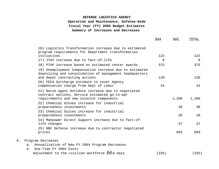|                                                                                                                                                  | <b>BA4</b> | BA2   | TOTAL |
|--------------------------------------------------------------------------------------------------------------------------------------------------|------------|-------|-------|
| 16) Logistics Transformation increase due to estimated<br>program requirements for Department transformation                                     |            |       |       |
| initiatives                                                                                                                                      | 122        |       | 122   |
| 17) JTAV increase due to fact-of-life                                                                                                            | 9          |       | 9     |
| 18) PTAP increase based on estimated center awards                                                                                               | 375        |       | 375   |
| 19) Unemployment Compensation increase due to estimated<br>downsizing and consolidation of management headquarters                               |            |       |       |
| and depot contracting actions                                                                                                                    | 120        |       | 120   |
| 20) FECA Surcharge estimate to cover Agency<br>compensation charge from Dept of Labor                                                            | 34         |       | 34    |
| 21) Nerve Agent Antidote increase due to negotiated<br>contract options, Service estimated go-to-war<br>requirements and new injector components |            | 1,200 | 1,200 |
| 22) Chemical Gloves increase for industrial<br>preparedness investments                                                                          |            | 30    | 30    |
| 23) Chemical Suites increase for industrial<br>preparedness investments                                                                          |            | 20    | 20    |
| 24) Manpower Direct Support increase due to fact-of-<br>life changes                                                                             |            | 37    | 37    |
| 25) NBC Defense increase due to contractor negotiated<br>prices                                                                                  |            | 693   | 693   |
| 9.<br>Program Decreases                                                                                                                          |            |       |       |
| Annualization of New FY 2004 Program Decreases<br>a.                                                                                             |            |       |       |

 b. One-Time FY 2004 Costs Adjustment to the civilian workforce  $_{\text{Pald}}^{\text{DLA}}$ days (335) (335)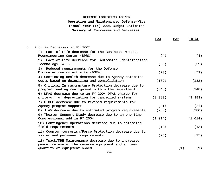|                                                                                                                                          | BA4           | BA <sub>2</sub> | TOTAL         |
|------------------------------------------------------------------------------------------------------------------------------------------|---------------|-----------------|---------------|
| Program Decreases in FY 2005<br>$\mathsf{C}$ .                                                                                           |               |                 |               |
| Fact-of-Life decrease for the Business Process<br>1)<br>Reengineering Center (BPRC)                                                      | (4)           |                 | (4)           |
| 2) Fact-of-Life decrease for Automatic Identification<br>Technology (AIT)                                                                | (59)          |                 | (59)          |
| Reduced requirements for the Defense<br>3)<br>Microelectronics Activity (DMEA)                                                           | (73)          |                 | (73)          |
| 4) Continuing Health decrease due to Agency estimated<br>costs based on downsizing and consolidation                                     | (182)         |                 | (182)         |
| 5) Critical Infrastructure Protection decrease due to<br>program funding realignment within the Department                               | (348)         |                 | (348)         |
| 6) DFAS decrease due to an FY 2004 DFAS charge for<br>write-off of depreciation for cancelled systems                                    | (3, 383)      |                 | (3, 383)      |
| 7) GIDEP decrease due to revised requirements for                                                                                        |               |                 |               |
| Agency program support<br>8) JTAV decrease due to estimated program requirements                                                         | (21)<br>(280) |                 | (21)<br>(280) |
| 9) Theater Support Study decrease due to an one-time                                                                                     |               |                 |               |
| Congressional add in FY 2004                                                                                                             | (1, 014)      |                 | (1, 014)      |
| 10) Contingency Operations decrease due to estimated<br>field requirements                                                               | (13)          |                 | (13)          |
| 11) Counter-terrorism/Force Protection decrease due to<br>system and personnel requirements                                              | (25)          |                 | (25)          |
| 12) Tpack/MRE Maintenance decrease due to increased<br>peacetime use of the reserve equipment and a lower<br>quantity of equipment owned |               | (1)             | (1)           |
|                                                                                                                                          |               |                 |               |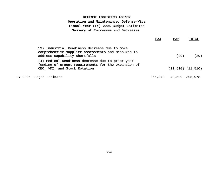|                         |                                                                                                                                         | BA4     | BA2            | TOTAL                   |
|-------------------------|-----------------------------------------------------------------------------------------------------------------------------------------|---------|----------------|-------------------------|
|                         | 13) Industrial Readiness decrease due to more<br>comprehensive supplier assessments and measures to<br>address capability shortfalls    |         | (29)           | (29)                    |
|                         | 14) Medical Readiness decrease due to prior year<br>funding of urgent requirements for the expansion of<br>CEC, VMI, and Stock Rotation |         |                | $(11, 510)$ $(11, 510)$ |
| FY 2005 Budget Estimate |                                                                                                                                         | 265,379 | 40,599 305,978 |                         |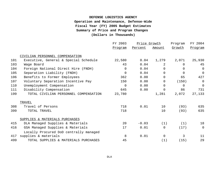|     |                                        | FY 2003     |         | Price Growth |               | FY 2004        |
|-----|----------------------------------------|-------------|---------|--------------|---------------|----------------|
|     |                                        | Program     | Percent | Amount       | <u>Growth</u> | Program        |
|     | CIVILIAN PERSONNEL COMPENSATION        |             |         |              |               |                |
| 101 | Executive, General & Special Schedule  | 22,580      | 0.04    | 1,279        | 2,071         | 25,930         |
| 103 | Wage Board                             | 43          | 0.04    | 2            | $\Omega$      | 45             |
| 104 | Foreign National Direct Hire (FNDH)    | $\mathbf 0$ | 0.04    | $\Omega$     | $\Omega$      | 0              |
| 105 | Separation Liability (FNDH)            | $\mathbf 0$ | 0.04    | $\Omega$     | $\Omega$      | $\mathbf 0$    |
| 106 | Benefits to Former Employees           | 362         | 0.00    | $\Omega$     | 65            | 427            |
| 107 | Voluntary Separation Incentive Pay     | 150         | 0.00    | $\Omega$     | (150)         | 0              |
| 110 | Unemployment Compensation              | 0           | 0.00    | $\Omega$     | $\Omega$      | $\mathsf{O}$   |
| 111 | Disability Compensation                | 645         | 0.00    | 0            | 86            | 731            |
| 199 | TOTAL CIVILIAN PERSONNEL COMPENSATION  | 23,780      |         | 1,281        | 2,072         | 27,133         |
|     | TRAVEL                                 |             |         |              |               |                |
| 308 | Travel of Persons                      | 718         | 0.01    | 10           | (93)          | 635            |
| 399 | TOTAL TRAVEL                           | 718         |         | 10           | (93)          | 635            |
|     | SUPPLIES & MATERIALS PURCHASES         |             |         |              |               |                |
| 415 | DLA Managed Supplies & Materials       | 20          | $-0.03$ | (1)          | (1)           | 18             |
| 416 | GSA Managed Supplies & Materials       | 17          | 0.01    | 0            | (17)          | $\overline{0}$ |
|     | Locally Procured DoD centrally managed |             |         |              |               |                |
| 417 | supplies & materials                   | 8           | 0.01    | $\Omega$     | 3             | 11             |
| 499 | TOTAL SUPPLIES & MATERIALS PURCHASES   | 45          |         | (1)          | (15)          | 29             |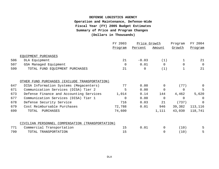|     |                                                     | FY 2003  | Price Growth |          | Program       | FY 2004        |  |
|-----|-----------------------------------------------------|----------|--------------|----------|---------------|----------------|--|
|     |                                                     | Program  | Percent      | Amount   | <u>Growth</u> | Program        |  |
|     | EQUIPMENT PURCHASES                                 |          |              |          |               |                |  |
| 506 | DLA Equipment                                       | 21       | $-0.03$      | (1)      |               | 21             |  |
| 507 | GSA Managed Equipment                               | $\Omega$ | 0.01         | $\Omega$ | $\Omega$      | $\overline{0}$ |  |
| 599 | TOTAL FUND EQUIPMENT PURCHASES                      | 21       | $\mathbf 0$  | (1)      | 1             | 21             |  |
|     | OTHER FUND PURCHASES (EXCLUDE TRANSPORTATION)       |          |              |          |               |                |  |
| 647 | DISA Information Systems (Megacenters)              | 77       | 0.00         | $\Omega$ | (77)          | $\mathbf 0$    |  |
| 671 | Communication Services (DISA) Tier 2                | 5        | 0.00         | $\Omega$ | $\Omega$      | 5              |  |
| 673 | Defense Finance and Accounting Services             | 1,014    | 0.14         | 144      | 4,462         | 5,620          |  |
| 677 | Communication Services (DISA) Tier 1                | $\Omega$ | 0.00         | $\Omega$ | $\Omega$      | 0              |  |
| 678 | Defense Security Service                            | 716      | 0.03         | 21       | (737)         | $\Omega$       |  |
| 679 | Cost Reimbursable Purchases                         | 72,788   | 0.01         | 946      | 39,382        | 113,116        |  |
| 699 | TOTAL<br>PURCHASES                                  | 74,600   |              | 1,111    | 43,030        | 118,741        |  |
|     | CIVILIAN PERSONNEL COMPENSATION<br>(TRANSPORTATION) |          |              |          |               |                |  |
| 771 | Commercial Transportation                           | 15       | 0.01         | 0        | (10)          | 5              |  |
| 799 | TOTAL TRANSPORTATION                                | 15       |              | 0        | (10)          | 5              |  |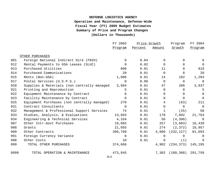|      |                                             | FY 2003  | Price Growth |                | Program                 | FY 2004        |
|------|---------------------------------------------|----------|--------------|----------------|-------------------------|----------------|
|      |                                             | Program  | Percent      | Amount         | Growth                  | Program        |
|      | OTHER PURCHASES                             |          |              |                |                         |                |
| 901  | Foreign National Indirect Hire (FNIH)       | $\Omega$ | 0.04         | $\Omega$       | $\Omega$                | $\Omega$       |
| 912  | Rental Payments to GSA Leases (SLUC)        | $\Omega$ | 0.02         | $\mathsf{O}$   | $\mathbf 0$             | $\overline{0}$ |
| 913  | Purchased Utilities                         | 808      | 0.01         | 11             | $\Omega$                | 819            |
| 914  | Purchased Communications                    | 20       | 0.01         | $\Omega$       | 8                       | 28             |
| 915  | Rents (Non-GSA)                             | 1,088    | 0.01         | 14             | 182                     | 1,284          |
| 917  | Postal Services (U.S.P.S.)                  | 0        | 0.00         | $\Omega$       | 0                       | 0              |
| 920  | Supplies & Materials (non centrally managed | 3,684    | 0.01         | 47             | 206                     | 3,937          |
| 921  | Printing and Reproduction                   | 5        | 0.01         | $\overline{0}$ | $\overline{0}$          | 5              |
| 922  | Equipment Maintenance by Contract           | $\Omega$ | 0.01         | $\Omega$       | $\Omega$                | $\mathbf 0$    |
| 923  | Facility Maintenance by Contract            | $\Omega$ | 0.01         | $\Omega$       | $\mathbf 0$             | $\Omega$       |
| 925  | Equipment Purchases (non centrally managed) | 270      | 0.01         | 4              | (63)                    | 211            |
| 931  | Contract Consultants                        | $\Omega$ | 0.01         | $\mathbf 0$    | 0                       | $\overline{0}$ |
| 932  | Management & Professional Support Services  | 74       | 0.01         | $\mathbf{1}$   | (25)                    | 50             |
| 933  | Studies, Analysis, & Evaluations            | 13,693   | 0.01         | 178            | 7,892                   | 21,763         |
| 934  | Engineering & Technical Services            | 4,334    | 0.01         | 56             | (4, 390)                | $\overline{0}$ |
| 987  | Other Intr-Govt Purchases                   | 19,865   | 0.01         | 257            | (3, 683)                | 16,439         |
| 988  | Grants                                      | 21,055   | 0.01         | 274            | (2, 372)                | 18,957         |
| 989  | Other Contracts                             | 309,760  | 0.01         | 4,060          | (232, 127)              | 81,693         |
| 991  | Foreign Currency Variance                   | 0        | 0.01         | $\Omega$       | 0                       | $\Omega$       |
| 998  | Other Costs                                 | 10       | 0.01         | $\Omega$       | (1)                     | 9              |
| 999  | TOTAL OTHER PURCHASES                       | 374,666  |              | 4,902          | (234, 373)              | 145,195        |
| 9999 | TOTAL OPERATION & MAINTENANCE               | 473,845  |              |                | 7,302 (189,388) 291,759 |                |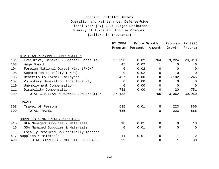|     |                                        | FY 2004<br>Price Growth<br>Program |         | FY 2005        |                |          |
|-----|----------------------------------------|------------------------------------|---------|----------------|----------------|----------|
|     |                                        | Program                            | Percent | Amount         | Growth         | Program  |
|     | CIVILIAN PERSONNEL COMPENSATION        |                                    |         |                |                |          |
| 101 | Executive, General & Special Schedule  | 25,930                             | 0.02    | 764            | 3,224          | 29,918   |
| 103 | Wage Board                             | 45                                 | 0.02    | 1              | $\Omega$       | 46       |
| 104 | Foreign National Direct Hire (FNDH)    | $\mathbf 0$                        | 0.02    | $\Omega$       | $\Omega$       | $\Omega$ |
| 105 | Separation Liability (FNDH)            | $\Omega$                           | 0.02    | $\Omega$       | $\Omega$       | $\Omega$ |
| 106 | Benefits to Former Employees           | 427                                | 0.00    | $\Omega$       | (182)          | 245      |
| 107 | Voluntary Separation Incentive Pay     | $\Omega$                           | 0.00    | $\Omega$       | $\Omega$       | $\Omega$ |
| 110 | Unemployment Compensation              | $\Omega$                           | 0.00    | $\Omega$       | $\Omega$       | $\Omega$ |
| 111 | Disability Compensation                | 731                                | 0.00    | 0              | 20             | 751      |
| 199 | TOTAL CIVILIAN PERSONNEL COMPENSATION  | 27,133                             |         | 765            | 3,062          | 30,960   |
|     | TRAVEL                                 |                                    |         |                |                |          |
| 308 | Travel of Persons                      | 635                                | 0.01    | 8              | 223            | 866      |
| 399 | TOTAL TRAVEL                           | 635                                |         | 8              | 223            | 866      |
|     | SUPPLIES & MATERIALS PURCHASES         |                                    |         |                |                |          |
| 415 | DLA Managed Supplies & Materials       | 18                                 | 0.01    | $\Omega$       | $\overline{0}$ | 18       |
| 416 | GSA Managed Supplies & Materials       | $\overline{0}$                     | 0.01    | $\overline{0}$ | $\Omega$       | $\Omega$ |
|     | Locally Procured DoD centrally managed |                                    |         |                |                |          |
| 417 | supplies & materials                   | 11                                 | 0.01    | $\Omega$       |                | 12       |
| 499 | TOTAL SUPPLIES & MATERIAL PURCHASES    | 29                                 |         | 0              |                | 30       |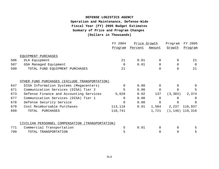|     |                                                  | FY 2004<br>Price Growth |         | Program  | FY 2005           |                |
|-----|--------------------------------------------------|-------------------------|---------|----------|-------------------|----------------|
|     |                                                  | Program                 | Percent | Amount   | <u>Growth</u>     | <u>Program</u> |
|     | EQUIPMENT PURCHASES                              |                         |         |          |                   |                |
| 506 | DLA Equipment                                    | 21                      | 0.01    | $\Omega$ | $\Omega$          | 21             |
| 507 | GSA Managed Equipment                            | $\overline{0}$          | 0.01    | 0        | $\mathbf 0$       | $\Omega$       |
| 599 | TOTAL FUND EQUIPMENT PURCHASES                   | 21                      |         | $\Omega$ | $\Omega$          | 21             |
|     | OTHER FUND PURCHASES (EXCLUDE TRANSPORTATION)    |                         |         |          |                   |                |
| 647 | DISA Information Systems (Megacenters)           | $\overline{0}$          | 0.00    | $\Omega$ | $\Omega$          |                |
| 671 | Communication Services (DISA) Tier 2             | 5                       | 0.00    | $\Omega$ | $\Omega$          | 5              |
| 673 | Defense Finance and Accounting Services          | 5,620                   | 0.02    | 137      | (3, 383)          | 2,374          |
| 677 | Communication Services (DISA) Tier 1             | $\Omega$                | 0.00    | $\Omega$ | $\Omega$          | $\Omega$       |
| 678 | Defense Security Service                         | $\Omega$                | 0.00    | $\Omega$ | $\Omega$          | $\Omega$       |
| 679 | Cost Reimbursable Purchases                      | 113,116                 | 0.01    | 1,584    |                   | 2,237 116,937  |
| 699 | TOTAL<br>PURCHASES                               | 118,741                 |         | 1,721    | $(1,146)$ 119,316 |                |
|     | CIVILIAN PERSONNEL COMPENSATION (TRANSPORTATION) |                         |         |          |                   |                |
| 771 | Commercial Transportation                        | 5                       | 0.01    | $\Omega$ | $\Omega$          | 5.             |
| 799 | TOTAL TRANSPORTATION                             | 5                       |         | $\Omega$ | $\Omega$          | 5              |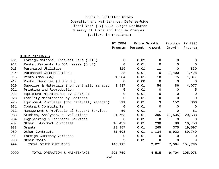|      |                                             | FY 2004        |         | Price Growth   |                | FY 2005        |
|------|---------------------------------------------|----------------|---------|----------------|----------------|----------------|
|      |                                             | <u>Program</u> | Percent | Amount         | Growth         | Program        |
|      | OTHER PURCHASES                             |                |         |                |                |                |
| 901  | Foreign National Indirect Hire (FNIH)       | $\overline{0}$ | 0.02    | $\Omega$       | $\Omega$       | $\Omega$       |
| 912  | Rental Payments to GSA Leases (SLUC)        | $\mathbf 0$    | 0.01    | $\Omega$       | $\Omega$       | $\Omega$       |
| 913  | Purchased Utilities                         | 819            | 0.01    | 11             | $\Omega$       | 830            |
| 914  | Purchased Communications                    | 28             | 0.01    | $\Omega$       | 1,400          | 1,428          |
| 915  | Rents (Non-GSA)                             | 1,284          | 0.01    | 18             | 75             | 1,377          |
| 917  | Postal Services (U.S.P.S.)                  | $\mathbf 0$    | 0.00    | $\overline{0}$ | $\overline{0}$ | $\Omega$       |
| 920  | Supplies & Materials (non centrally managed | 3,937          | 0.01    | 54             | 86             | 4,077          |
| 921  | Printing and Reproduction                   | 5              | 0.01    | $\Omega$       | $\overline{0}$ | 5              |
| 922  | Equipment Maintenance by Contract           | $\Omega$       | 0.01    | $\Omega$       | $\Omega$       | $\Omega$       |
| 923  | Facility Maintenance by Contract            | $\Omega$       | 0.01    | $\mathbf 0$    | $\overline{0}$ | $\Omega$       |
| 925  | Equipment Purchases (non centrally managed) | 211            | 0.01    | 3              | 152            | 366            |
| 931  | Contract Consultants                        | $\Omega$       | 0.01    | $\Omega$       | $\mathbf 0$    | $\overline{0}$ |
| 932  | Management & Professional Support Services  | 50             | 0.01    | $\mathbf 1$    | $\Omega$       | 51             |
| 933  | Studies, Analysis, & Evaluations            | 21,763         | 0.01    | 305            | (1, 535)       | 20,533         |
| 934  | Engineering & Technical Services            | $\overline{0}$ | 0.01    | $\mathbf{0}$   | $\overline{0}$ | $\Omega$       |
| 987  | Other Intr-Govt Purchases                   | 16,439         | 0.01    | 230            | 89             | 16,758         |
| 988  | Grants                                      | 18,957         | 0.01    | 265            | 375            | 19,597         |
| 989  | Other Contracts                             | 81,693         | 0.01    | 1,134          | 6,922          | 89,749         |
| 991  | Foreign Currency Variance                   | 0              | 0.01    | $\Omega$       | $\Omega$       | $\Omega$       |
| 998  | Other Costs                                 | 9              | 0.01    | $\overline{0}$ | $\Omega$       | 9              |
| 999  | TOTAL OTHER PURCHASES                       | 145,195        |         | 2,021          | 7,564          | 154,780        |
| 9999 | TOTAL OPERATION & MAINTENANCE               | 291,759        |         | 4,515          | 9,704          | 305,978        |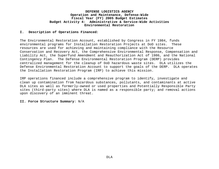#### **I. Description of Operations Financed:**

The Environmental Restoration Account, established by Congress in FY 1984, funds environmental programs for Installation Restoration Projects at DoD sites. These resources are used for achieving and maintaining compliance with the Resource Conservation and Recovery Act, the Comprehensive Environmental Response, Compensation and Liability Act, the Superfund Amendment and Reauthorization Act of 1986, and the National Contingency Plan. The Defense Environmental Restoration Program (DERP) provides centralized management for the cleanup of DoD hazardous waste sites. DLA utilizes the Defense Environmental Restoration Account to support the goals of the DERP. DLA operates the Installation Restoration Program (IRP) to achieve this mission.

IRP operations financed include a comprehensive program to identify, investigate and clean up contamination from hazardous substances, pollutants, and contaminants at active DLA sites as well as formerly-owned or used properties and Potentially Responsible Party sites (third-party sites) where DLA is named as a responsible party; and removal actions upon discovery of an imminent threat.

#### **II. Force Structure Summary**: N/A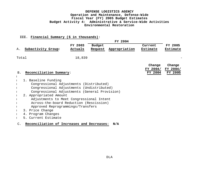#### **III. Financial Summary (\$ in thousands)**:

|       |                                               |         |               | <b>FY 2004</b> |          |          |
|-------|-----------------------------------------------|---------|---------------|----------------|----------|----------|
|       |                                               | FY 2003 | <b>Budget</b> |                | Current  | FY 2005  |
| Α.    | Subactivity Group:                            | Actuals | Request       | Appropriation  | Estimate | Estimate |
|       |                                               |         |               |                |          |          |
| Total |                                               | 18,839  |               |                |          |          |
|       |                                               |         |               |                |          |          |
|       |                                               |         |               |                | Change   | Change   |
|       |                                               |         |               |                | FY 2004/ | FY 2004/ |
| B.    | Reconciliation Summary:                       |         |               |                | FY 2004  | FY 2005  |
|       |                                               |         |               |                |          |          |
|       | 1. Baseline Funding                           |         |               |                |          |          |
|       | Congressional Adjustments (Distributed)       |         |               |                |          |          |
|       | Congressional Adjustments (Undistributed)     |         |               |                |          |          |
|       | Congressional Adjustments (General Provision) |         |               |                |          |          |
|       | 2. Appropriated Amount                        |         |               |                |          |          |
|       | Adjustments to Meet Congressional Intent      |         |               |                |          |          |
|       | Across-the-board Reduction (Rescission)       |         |               |                |          |          |
|       | Approved Reprogrammings/Transfers             |         |               |                |          |          |
|       | 3. Price Change                               |         |               |                |          |          |
|       | 4. Program Changes                            |         |               |                |          |          |
|       | Current Estimate                              |         |               |                |          |          |
|       |                                               |         |               |                |          |          |

# C.C. **Reconciliation of Increases and Decreases: N/A**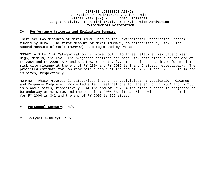#### IV. **Performance Criteria and Evaluation Summary**:

There are two Measures of Merit (MOM) used in the Environmental Restoration Program funded by DERA. The first Measure of Merit (MOM#R1) is categorized by Risk. The second Measure of merit (MOM#R2) is categorized by Phase.

MOM#R1 – Site Risk Categorization is broken out into three Relative Risk Categories: High, Medium, and Low. The projected estimate for high risk site cleanup at the end of FY 2004 and FY 2005 is 4 and 3 sites, respectively. The projected estimate for medium risk site cleanup at the end of FY 2004 and FY 2005 is 8 and 6 sites, respectively. The projected estimate for low risk site cleanup at the end of FY 2004 and FY 2005 is 14 and 13 sites, respectively.

MOM#R2 – Phase Progress is categorized into three activities: Investigation, Cleanup and Response Complete. Projected site investigations for the end of FY 2004 and FY 2005 is 5 and 1 sites, respectively. At the end of FY 2004 the cleanup phase is projected to be underway at 42 sites and the end of FY 2005 33 sites. Sites with response complete for FY 2004 is 342 and the end of FY 2005 is 355 sites.

#### V. **Personnel Summary**: N/A

VI. **Outyear Summary:** N/A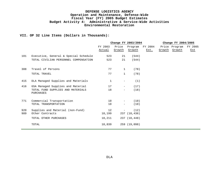### **VII. OP 32 Line Items (Dollars in Thousands):**

|     |                                                | Change FY 2003/2004 |                          |                   |                 |  | Change FY 2004/2005            |                |  |  |
|-----|------------------------------------------------|---------------------|--------------------------|-------------------|-----------------|--|--------------------------------|----------------|--|--|
|     |                                                | FY 2003<br>Actual   | Price<br>Growth          | Program<br>Growth | FY 2004<br>Est. |  | Price Program<br>Growth Growth | FY 2005<br>Est |  |  |
| 101 | Executive, General & Special Schedule          | 523                 | 21                       | (544)             |                 |  |                                |                |  |  |
|     | TOTAL CIVILIAN PERSONNEL COMPENSATION          | 523                 | 21                       | (544)             |                 |  |                                |                |  |  |
| 308 | Travel of Persons                              | 77                  | $\mathbf 1$              | (78)              |                 |  |                                |                |  |  |
|     | TOTAL TRAVEL                                   | 77                  | $\mathbf{1}$             | (78)              |                 |  |                                |                |  |  |
| 415 | DLA Managed Supplies and Materials             | $\mathbf{1}$        | $\overline{\phantom{m}}$ | (1)               |                 |  |                                |                |  |  |
| 416 | GSA Managed Supplies and Material              | 17                  | $\overline{\phantom{a}}$ | (17)              |                 |  |                                |                |  |  |
|     | TOTAL FUND SUPPLIES AND MATERIALS<br>PURCHASES | 18                  | $\overline{\phantom{a}}$ | (18)              |                 |  |                                |                |  |  |
| 771 | Commercial Transportation                      | 10                  | $\equiv$                 | (10)              |                 |  |                                |                |  |  |
|     | TOTAL TRANSPORTATION                           | 10                  | $\overline{\phantom{m}}$ | (10)              |                 |  |                                |                |  |  |
| 920 | Supplies and Material (non-Fund)               | 12                  | $\overline{\phantom{a}}$ | (12)              |                 |  |                                |                |  |  |
| 989 | Other Contracts                                | 18,199              |                          | 237 (18,436)      |                 |  |                                |                |  |  |
|     | TOTAL OTHER PURCHASES                          | 18,211              |                          | 237 (18,448)      |                 |  |                                |                |  |  |
|     | TOTAL                                          | 18,839              |                          | 259 (19,098)      |                 |  |                                |                |  |  |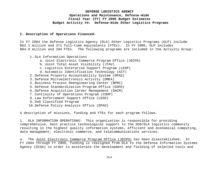#### **I. Description of Operations Financed:**

In FY 2004 the Defense Logistics Agency (DLA) Other Logistics Programs (OLP) include \$62.1 million and 271 full-time equivalents (FTEs). In FY 2005, OLP includes \$84.9 million and 294 FTEs. The following programs are included in the Activity Group:

- 1. DLA Information Operations
	- a. Joint Electronic Commerce Program Office (JECPO)
	- b. Joint Total Asset Visibility (JTAV)
	- c. Logistics Enterprise Support Program (LESP)
	- d. Automatic Identification Technology (AIT)
- 2. Defense Property Accountability System (DPAS)
- 3. Defense Microelectronics Activity (DMEA)
- 4. Business Process Reengineering Center (BPRC)
- 5. Defense Standardization Program Office (DSPO)
- 6. Defense Acquisition Career Management (DACM)
- 7. Continuity of Operations Program (COOP)
- 8. Law Enforcement Support Office (LESO)
- 9. DoD Classified Program
- 10.Defense Policy Analysis Office (DPAO)

A description of missions, funding and FTEs for each program follows.

1. DLA INFORMATION OPERATIONS: This organization is responsible for providing comprehensive, best practice technological support to the DoD/DLA logistics community resulting in the highest quality information systems, efficient and economical computing, data management, electronic commerce, and telecommunications services.

a. The Joint Electronic Commerce Program Office (JECPO) has been disestablished. In FY 2004 through FY 2009, funding is realigned from DLA to the Defense Information Systems Agency (DISA) in order to accelerate the development and fielding of selected tools and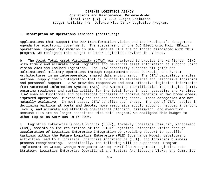#### **I. Description of Operations Financed (continued):**

applications that support the DoD transformation vision and the President's Management Agenda for electronic government. The sustainment of the DoD Electronic Mall (EMall) operational capability remains in DLA. Because FTEs are no longer associated with this program, we realigned this budget to Other Logistics Services in FY 2004.

b. The Joint Total Asset Visibility (JTAV) was chartered to provide the warfighter CINC with timely and accurate joint logistics and personnel asset information to support Joint Vision 2020 and Focused Logistics. The JTAV capability supports all joint and multinational military operations through requirements-based Operation and System Architectures in an interoperable, shared data environment. The JTAV capability enables national supply chain integration that is crucial to streamlined and responsive logistics and personnel support. JTAV provides responsive and cost-effective logistics information from Automated Information Systems (AIS) and Automated Identification Technologies (AIT), ensuring readiness and sustainability for the total force in both peacetime and wartime. JTAV enables functional and operational processes to achieve benefits in two broad areas: improved operational flexibility and reduced operating costs. These categories are not mutually exclusive. In most cases, JTAV benefits both areas. The use of JTAV results in declining backlogs at ports and depots, more responsive supply support, reduced inventory levels, and accurate and effective operational planning, assessment, and execution. Because FTEs are no longer associated with this program, we realigned this budget to Other Logistics Services in FY 2004.

c. Logistics Enterprise Support Program (LESP), formerly Logistics Community Management (LCM), assists in the realization of the Future Logistics Enterprise vision through acceleration of Logistics Enterprise Integration by providing support to specific taskings within the Future Logistics Enterprise (FLE) Governance Model, development activities lead to a Logistics Enterprise Architecture (LEA), and logistics business process reengineering. Specifically, the following will be supported: Program Implementation Group; Change Management Group; Portfolio Management; Logistics Data Strategy; Logistics Enterprise Operational and Systems Architecture Views, and Community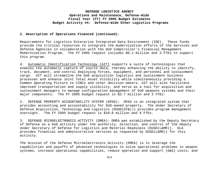#### **I. Description of Operations Financed (continued):**

Requirements for Logistics Enterprise Integrated Data Environment (IDE). These funds provide the critical resources to integrate the modernization efforts of the Services and Defense Agencies in collaboration with the DoD Comptroller's Financial Management Modernization Program. The FY 2005 request includes \$6.1 million and 3 FTEs to support this program.

d. Automatic Identification Technology (AIT) supports a suite of technologies that enables the automatic capture of source data, thereby enhancing the ability to identify, track, document, and control deploying forces, equipment, and personnel and sustainment cargo. AIT will streamline the DoD acquisition logistics and sustainment business processes and enhance Joint Total Asset Visibility while simultaneously providing a Common Operating Picture to CINCs and other decision makers. AIT will also facilitate improved transportation and supply visibility, and serve as a tool for acquisition and sustainment managers to manage configuration management of DoD weapons systems and their major components. The FY 2005 budget request is \$2.7 million and 2 FTEs.

2. DEFENSE PROPERTY ACCOUNTABILITY SYSTEM (DPAS): DPAS is an integrated system that provides accounting and accountability for DoD-owned property. The Under Secretary of Defense Acquisition, Technology and Logistics (OUSD(AT&L)) provides program management oversight. The FY 2005 budget request is \$10.8 million and 6 FTEs.

3. DEFENSE MICROELECTRONICS ACTIVITY (DMEA): DMEA was established by the Deputy Secretary of Defense as a DoD activity under the authority, direction, and control of the Deputy Under Secretary of Defense for Logistics and Materiel Readiness (DUSD(L&MR)). DLA provides financial and administrative services as requested by DUSD(L&MR)) for this activity.

The mission of the Defense Microelectronics Activity (DMEA) is to leverage the capabilities and payoffs of advanced technologies to solve operational problems in weapon systems, increase operational capabilities, reduce operation and support (O&S) costs, and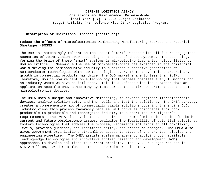#### **I. Description of Operations Financed (continued):**

reduce the effects of Microelectronics Diminishing Manufacturing Sources and Material Shortages (DMSMS).

The DoD is increasingly reliant on the use of "smart" weapons with all future engagement scenarios of Joint Vision 2020 depending on the use of these systems. The technology forming the brain of these "smart" systems is microelectronics, a technology listed by DoD as critical. Meanwhile the use of microelectronics has exploded in the commercial world driving the semiconductor industry to supersede successive generations of semiconductor technologies with new technologies every 18 months. This extraordinary growth in commercial products has driven the DoD market share to less than 0.1%. Therefore, DoD is now reliant on a technology that becomes obsolete every 18 months and an industry where we have no influence. This is a Defense-wide issue rather than an application specific one, since many systems across the entire Department use the same microelectronics devices.

The DMEA uses a unique and innovative methodology to reverse engineer microelectronic devices, analyze solution sets, and then build and test the solutions. The DMEA strategy creates a comprehensive mix of commercially viable solutions covering the entire DoD. Industry views this process favorably because DMEA converts components from nonproducible to producible and reenergizes industry to support the war fighter's requirements. The DMEA also evaluates the entire spectrum of microelectronics for both current and future obsolescence issues, evaluates the feasibility of potential solutions, fosters technologies that address the problem, recommends solutions at all complexity levels, provides guidance, and recommends policy, and procedure changes. The DMEA also gives government organizations streamlined access to state-of-the art technologies and engineering expertise. The DMEA assists system managers by applying both available leading-edge technologies and innovative applied research and development (R&D) approaches to develop solutions to current problems. The FY 2005 budget request is \$15.2 million, 124 direct-funded FTEs and 32 reimbursable FTEs.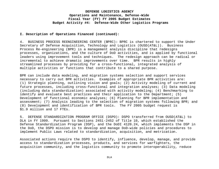#### **I. Description of Operations Financed (continued):**

4. BUSINESS PROCESS REENGINEERING CENTER (BPRC): BPRC is chartered to support the Under Secretary of Defense Acquisition, Technology and Logistics (OUSD(AT&L)). Business Process Re-engineering (BPR) is a management analysis discipline that redesigns processes, organizations, and the culture of DoD activities, and is applied by functional leaders using improvement tools and techniques. The redesign approach can be radical or incremental to achieve dramatic improvements over time. BPR results in highly streamlined processes by providing for a cross-functional, integrated analysis of multiple activities or functions that contribute to a shared purpose.

BPR can include data modeling, and migration systems selection and support services necessary to carry out BPR activities. Examples of appropriate BPR activities are: (1) Strategic planning, outlining vision and goals; (2) Activity modeling of current and future processes, including cross-functional and integration analyses; (3) Data modeling (including data standardization) associated with activity modeling; (4) Benchmarking to identify and evaluate best practices and their application to the Department; (5) Development of functional economic analyses; (6) Planning for BPR implementation and assessment; (7) Analysis leading to the selection of migration systems following BPR; and (8) Development and identification of BPR tools. The FY 2005 budget request is \$1.9 million and 17 FTEs.

5. DEFENSE STANDARDIZATION PROGRAM OFFICE (DSPO): DSPO transferred from OUSD(AT&L) to DLA in FY 1999. Pursuant to Sections 2451-2452 of Title 10, which established the Defense Standardization Program (DSP), and the DoDI 4120.24, which implements the DSP in the DoD, the DSPO mission is to develop and manage DoD-wide policies and procedures to implement Public Laws related to standardization, acquisition, and metrication.

Associated actions require the DSPO to identify, influence, develop, manage, and provide access to standardization processes, products, and services for warfighters, the acquisition community, and the logistics community to promote interoperability, reduce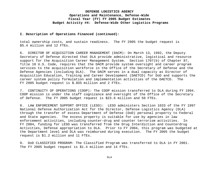#### **I. Description of Operations Financed (continued):**

total ownership costs, and sustain readiness. The FY 2005 the budget request is \$5.4 million and 12 FTEs.

6. DIRECTOR OF ACQUISITION CAREER MANAGEMENT (DACM): On March 13, 1992, the Deputy Secretary of Defense directed that DLA provide administrative, logistical and resource support for the Acquisition Career Management System. Section 1707(b) of Chapter 87, Title 10 U.S. Code, requires that the DACM provide system oversight and career program services to the acquisition workforce in the Office of the Secretary of Defense and the Defense Agencies (including DLA). The DACM serves in a dual capacity as Director of Acquisition Education, Training and Career Development (DAETCD) for DoD and supports the career system policy formulation and implementation activities of the DAETCD. The FY 2005 budget request is \$.835 million and 2 FTEs.

7. CONTINUITY OF OPERATIONS (COOP): The COOP mission transferred to DLA during FY 1994. COOP mission is under the staff cognizance and oversight of the Office of the Secretary of Defense. The FY 2005 budget request is \$23.6 million and 50 FTEs.

8. LAW ENFORCEMENT SUPPORT OFFICE (LESO): LESO administers Section 1033 of the FY 1997 National Defense Authorization Act for the Director, Defense Logistics Agency (DLA) through the transfer of excess Department of Defense (DoD) personal property to Federal and State agencies. The excess property is suitable for use by agencies in law enforcement activities, including counter-drug and counter terrorism activities. In FY 2004, funding for LESO was transferred from the Drug Interdiction and Counterdrug Activities, Defense appropriation to DLA. Prior to FY 2004, this program was budgeted at the Department level and DLA was reimbursed during execution. The FY 2005 the budget request is \$1.2 million and 11 FTEs.

9. DoD CLASSIFIED PROGRAM: The Classified Program was transferred to DLA in FY 2001. The FY 2005 budget request is \$1.4 million and 14 FTEs.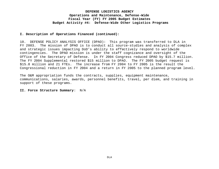#### **I. Description of Operations Financed (continued):**

10. DEFENSE POLICY ANALYSIS OFFICE (DPAO): This program was transferred to DLA in FY 2003. The mission of DPAO is to conduct all source-studies and analysis of complex and strategic issues impacting DoD's ability to effectively respond to worldwide contingencies. The DPAO mission is under the staff cognizance and oversight of the Office of the Secretary of Defense. In FY 2004 Congress reduced DPAO by \$15.7 million. The FY 2004 Supplemental restored \$15 million to DPAO. The FY 2005 budget request is \$15.8 million and 21 FTEs. The increase from FY 2004 to FY 2005 is the result the Congressional reduction in FY 2004 and a return in FY 2005 to the planned program level.

The O&M appropriation funds the contracts, supplies, equipment maintenance, communications, salaries, awards, personnel benefits, travel, per diem, and training in support of these programs.

#### **II. Force Structure Summary**: N/A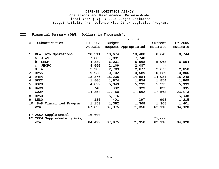#### **III. Financial Summary (O&M: Dollars in Thousands)**:

|    |                             |                   |        | FY 2004              |          |          |
|----|-----------------------------|-------------------|--------|----------------------|----------|----------|
| Α. | Subactivities:              | FY 2003           | Budget |                      | Current  | FY 2005  |
|    |                             | Actuals           |        | Request Appropriated | Estimate | Estimate |
| 1. | DLA Info Operations         | 20,311            | 18,674 | 18,480               | 8,645    | 8,744    |
|    | a. JTAV                     | 7,885             | 7,831  | 7,748                |          |          |
|    | b. LESP                     | 4,889             | 6,031  | 5,968                | 5,968    | 6,094    |
|    | c. JECPO                    | 4,550             | 2,109  | 2,087                |          |          |
|    | d. AIT                      | 2,987             | 2,703  | 2,677                | 2,677    | 2,650    |
|    | 2. DPAS                     | 9,938             | 10,702 | 10,589               | 10,589   | 10,806   |
|    | 3. DMEA                     | 13,876            | 15,235 | 14,984               | 14,984   | 15,248   |
|    | 4. BPRC                     | 1,806             | 1,874  | 1,854                | 1,854    | 1,869    |
|    | 5. DSPO                     | 4,829             | 5,349  | 5,293                | 5,293    | 5,399    |
|    | 6. DACM                     | 740               | 832    | 823                  | 823      | 835      |
|    | 7. COOP                     | 14,854            | 17,750 | 17,562               | 17,562   | 23,573   |
|    | 8. DPAO                     | $\qquad \qquad -$ | 15,776 |                      |          | 15,838   |
|    | 9. LESO                     | 385               | 401    | 397                  | 998      | 1,215    |
|    | 10. DoD Classified Program  | 1,153             | 1,382  | 1,368                | 1,368    | 1,401    |
|    | Total                       | 67,892            | 87,975 | 71,350               | 62,116   | 84,928   |
|    | FY 2002 Supplemental        | 16,600            |        |                      |          |          |
|    | FY 2004 Supplemental (memo) |                   |        |                      | 15,000   |          |
|    | Total                       | 84,492            | 87,975 | 71,350               | 62,116   | 84,928   |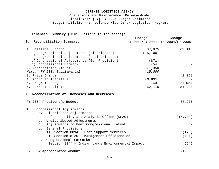#### **III. Financial Summary (O&M: Dollars in Thousands):**

|                                                            | Change        | Change                          |
|------------------------------------------------------------|---------------|---------------------------------|
| B. Reconciliation Summary:                                 |               | FY 2004/FY 2004 FY 2004/FY 2005 |
| 1. Baseline Funding                                        | 87,975        | 62,116                          |
| a) Congressional Adjustments (Distributed)                 | (15, 700)     |                                 |
| b) Congressional Adjustments (Undistributed)               |               |                                 |
| c) Congressional Adjustments (Gen Provision)               | (871)         |                                 |
| d) Congressional Earmark                                   | (54)          |                                 |
| 2. Appropriated Amount                                     | 71,350        |                                 |
| Memo: FY 2004 Supplemental                                 | 15,000        |                                 |
| 3. Price Change                                            |               | 1,258                           |
| 4. Approved Transfers                                      | (9,835)       |                                 |
| 5. Program Changes<br>6. Current Estimate                  | 601<br>62,116 | 21,554<br>84,928                |
|                                                            |               |                                 |
| C. Reconciliation of Increases and Decreases:              |               |                                 |
| FY 2004 President's Budget                                 |               | 87,975                          |
| Congressional Adjustments<br>$1$ .                         |               |                                 |
| Distributed Adjustments<br>a.                              |               |                                 |
| Defense Policy and Analysis Office (DPAO)                  |               | (15, 700)                       |
| Undistributed Adjustments<br>b.                            |               |                                 |
| Adjustments to Meet Congressional Intent<br>$\mathsf{C}$ . |               |                                 |
| General Provisions<br>d.                                   |               |                                 |
| 1) Section 8094 - Prof Support Services                    |               | (470)                           |
| Section 8126 - Management Efficiencies<br>2)               |               | (401)                           |
| Congressional Earmarks<br>e.                               |               |                                 |
| Section 8044 - Indian Lands Environmental Impact           |               | (54)                            |
| FY 2004 Appropriated Amount                                |               | 71,350                          |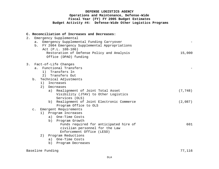|    |                |    | C. Reconciliation of Increases and Decreases:    |          |
|----|----------------|----|--------------------------------------------------|----------|
| 2. |                |    | Emergency Supplemental                           |          |
|    | a.             |    | Emergency Supplemental Funding Carryover         |          |
|    |                |    | b. FY 2004 Emergency Supplemental Appropriations |          |
|    |                |    | Act (P.L. 108-106)                               |          |
|    |                |    | Restoration of Defense Policy and Analysis       | 15,000   |
|    |                |    | Office (DPAO) funding                            |          |
| 3. |                |    | Fact-of-Life Changes                             |          |
|    |                |    | a. Functional Transfers                          |          |
|    |                | 1) | Transfers In                                     |          |
|    |                | 2) | Transfers Out                                    |          |
|    | b.             |    | Technical Adjustments                            |          |
|    |                | 1) | Increases                                        |          |
|    |                | 2) | Decreases                                        |          |
|    |                |    | a) Realignment of Joint Total Asset              | (7, 748) |
|    |                |    | Visibility (JTAV) to Other Logistics             |          |
|    |                |    | Services (OLS)                                   |          |
|    |                |    | b) Realignment of Joint Electronic Commerce      | (2,087)  |
|    |                |    | Program Office to OLS                            |          |
|    | $\mathsf{C}$ . |    | Emergent Requirements                            |          |
|    |                |    | 1) Program Increases                             |          |
|    |                |    | a) One-Time Costs                                |          |
|    |                |    | b) Program Growth                                |          |
|    |                |    | Funds required for anticipated hire of           | 601      |
|    |                |    | civilian personnel for the Law                   |          |
|    |                |    | Enforcement Office (LESO)                        |          |
|    |                | 2) | Program Reductions                               |          |
|    |                |    | a) One-Time Costs                                |          |
|    |                |    | b)<br>Program Decreases                          |          |
|    |                |    |                                                  |          |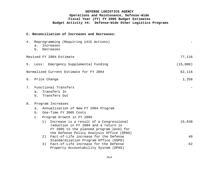**C. Reconciliation of Increases and Decreases:**

| 4. | $a$ .     | Reprogramming (Requiring 1415 Actions)<br>Increases<br>b. Decreases                                                                                                            |          |
|----|-----------|--------------------------------------------------------------------------------------------------------------------------------------------------------------------------------|----------|
|    |           | Revised FY 2004 Estimate                                                                                                                                                       | 77,116   |
|    | 5. Less:  | Emergency Supplemental Funding                                                                                                                                                 | (15,000) |
|    |           | Normalized Current Estimate for FY 2004                                                                                                                                        | 62,116   |
|    |           | 6. Price Change                                                                                                                                                                | 1,258    |
| 7. | a.        | Functional Transfers<br>Transfers In<br>b. Transfers Out                                                                                                                       |          |
| 8. |           | Program Increases                                                                                                                                                              |          |
|    | $a$ .     | Annualization of New FY 2004 Program                                                                                                                                           |          |
|    | b.        | One-Time FY 2005 Costs                                                                                                                                                         |          |
|    | $\circ$ . | Program Growth in FY 2005                                                                                                                                                      |          |
|    |           | Increase is a result of a Congressional<br>1)<br>reduction in FY 2004 and a return in<br>FY 2005 to the planned program level for<br>the Defense Policy Analysis Office (DPAO) | 15,838   |
|    |           | Fact-of-Life increase for the Defense<br>2)<br>Standardization Program Office (DSPO)                                                                                           | 40       |
|    |           | Fact-of-Life increase for the Defense<br>3)<br>Property Accountability System (DPAS)                                                                                           | 62       |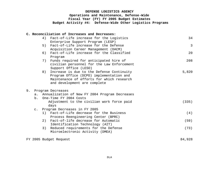# **DEFENSE LOGISTICS AGENCY Operations and Maintenance, Defense-Wide Fiscal Year (FY) FY 2005 Budget Estimates**

 **Budget Activity #4: Defense-Wide Other Logistics Programs**

# **C. Reconciliation of Increases and Decreases:**

|    |                | 4) | Fact-of-Life increase for the Logistics        | 34             |
|----|----------------|----|------------------------------------------------|----------------|
|    |                |    | Enterprise Support Program (LESP)              |                |
|    |                | 5) | Fact-of-Life increase for the Defense          | $\overline{3}$ |
|    |                |    | Acquisition Career Management (DACM)           |                |
|    |                | 6) | Fact-of-Life increase for the Classified       | 20             |
|    |                |    | Program                                        |                |
|    |                | 7) | Funds required for anticipated hire of         | 208            |
|    |                |    | civilian personnel for the Law Enforcement     |                |
|    |                |    | Support Office (LESO)                          |                |
|    |                | 8) | Increase is due to the Defense Continuity      | 5,820          |
|    |                |    | Program Office (DCPO) implementation and       |                |
|    |                |    | Maintenance of efforts for which research      |                |
|    |                |    | and development are complete                   |                |
|    |                |    |                                                |                |
| 9. |                |    | Program Decreases                              |                |
|    | $a$ .          |    | Annualization of New FY 2004 Program Decreases |                |
|    | b.             |    | One-Time FY 2004 Costs                         |                |
|    |                |    | Adjustment to the civilian work force paid     | (335)          |
|    |                |    | days                                           |                |
|    | $\mathsf{C}$ . |    | Program Decreases in FY 2005                   |                |
|    |                | 1) | Fact-of-Life decrease for the Business         | (4)            |
|    |                |    |                                                |                |
|    |                |    | Process Reengineering Center (BPRC)            |                |
|    |                | 2) | Fact-of-life decrease for Automatic            | (59)           |
|    |                |    | Identification Technology (AIT)                |                |
|    |                | 3) | Reduced requirements for the Defense           | (73)           |
|    |                |    | Microelectronic Activity (DMEA)                |                |
|    |                |    |                                                |                |
|    |                |    | FY 2005 Budget Request                         | 84,928         |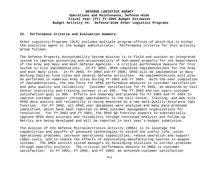#### **IV. Performance Criteria and Evaluation Summary**:

Other Logistics Programs (OLP) includes multiple program offices of which DLA is either the executive agent or the budget administrator. Performance criteria for this activity group follows.

The Defense Property Accountability System mission is to field and sustain an integrated system to improve accounting and accountability of DoD-owned property for the Departments of the Army and Navy and most Defense Agencies. A critical performance measure for this system is site implementations. In FY 2002, DPAS completed implementations for the Army and most Navy sites. In FY 2003, FY 2004 and FY 2005, DPAS will be implemented in Navy Working Capital Fund sites and several Defense activities. Re-implementations will also be performed in numerous Army sites during FY 2003 and FY 2004. With the near completion of implementations, the new focus for DPAS performance measures is customer satisfaction and data quality and reliability. Customer satisfaction for FY 2002, as measured by Call Center statistics and training surveys is at 94%. The FY 2003 and out years customer satisfaction goal is 98%. Efforts are underway and planned for FY 2003 and FY 2004 to improve customer support through improvements to the Call Center, Training, and Web-site. DPAS data quality and reliability is being measured by a new data Quality Assurance (QA) function. For FY 2002, all DPAS user databases were analyzed and many data problems identified, which have been reported to DPAS customer management organizations for resolution. For FY 2003 and FY 2004, the DPAS QA function expects to substantially improve DPAS data accuracy and reliability through continued analysis and follow-up Metrics are being developed and will be reported in next year's budget submission.

The mission of the Defense Microelectronics Activity (DMEA) is to leverage the capabilities and payoffs of advanced technologies to extend the useful life, solve operational problems, increase operational capabilities, reduce operation and support (O&S) costs, and to reduce the effects of diminishing manufacturing sources in weapon systems. The DMEA assists system managers by developing solutions to current problems through specific projects. The critical performance measure to DMEA is customer satisfaction. In FY 2001, FY 2002, and FY 2003, we achieved customer satisfaction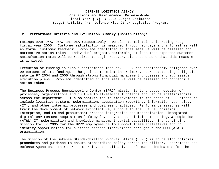#### **IV. Performance Criteria and Evaluation Summary (Continuation):**

ratings over 94%, 96%, and 96% respectively. We plan to maintain this rating rough fiscal year 2005. Customer satisfaction is measured through surveys and informal as well as formal customer feedback. Problems identified in this measure will be assessed and corrective action taken. Individual projects performing at less than expected customer satisfaction rates will be required to begin recovery plans to ensure that this measure is achieved.

Execution of funding is also a performance measure. DMEA has consistently obligated over 99 percent of its funding. The goal is to maintain or improve our outstanding obligation rate in FY 2004 and 2005 through strong financial management processes and aggressive execution plans. Problems identified in this measure will be assessed and corrective action taken.

The Business Process Reengineering Center (BPRC) mission is to propose redesign of processes, organizations and culture to streamline functions and reduce inefficiencies across the Department. It also contributes to improvements in the areas of E-Business to include logistics systems modernization, acquisition reporting, information technology (IT), and other internal processes and business practices. Performance measures will track the development of network architecture, support to the Future Logistics Enterprise, end-to-end procurement process integration and modernization, integrated digital environment acquisition life-cycle, and, the Acquisition Technology & Logistics (AT&L) IT modernization and knowledge management portal capability. The continuing mission for FY 2005 for the BPRC employees is to support these initiatives and to identify opportunities for business process improvements throughout the OUSD(AT&L) organization.

The mission of the Defense Standardization Program Office (DSPO) is to develop policies, procedures and guidance to ensure standardized policy across the Military Departments and Defense Agencies. There are some relevant qualitative performance indicators for the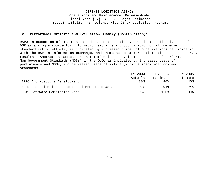#### **IV. Performance Criteria and Evaluation Summary (Continuation):**

DSPO in execution of its mission and associated actions. One is the effectiveness of the DSP as a single source for information exchange and coordination of all defense standardization efforts, as indicated by increased number of organizations participating with the DSP in information exchange, and increased customer satisfaction based on survey results. Another is success in institutionalized development and use of performance and Non-Government Standards (NGSs) in the DoD, as indicated by increased usage of performance and NGSs, and decreased usage of military-unique specifications and standards.

|                                                | FY 2003 | FY 2004  | FY 2005  |
|------------------------------------------------|---------|----------|----------|
|                                                | Actuals | Estimate | Estimate |
| BPRC Architecture Development                  | 30%     | 40%      | 40%      |
| BRPR Reduction in Unneeded Equipment Purchases | $92\%$  | 94%      | 94%      |
| DPAS Software Completion Rate                  | 95%     | 1 0 0 %  | 100%     |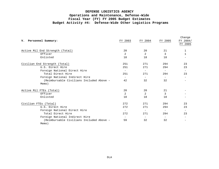|                                          |                          |                          |                          | Change                   |
|------------------------------------------|--------------------------|--------------------------|--------------------------|--------------------------|
| V. Personnel Summary:                    | FY 2003                  | FY 2004                  | FY 2005                  | FY 2004/                 |
|                                          |                          |                          |                          | FY 2005                  |
|                                          |                          |                          |                          |                          |
| Active Mil End Strength (Total)          | 20                       | 20                       | 21                       |                          |
| Officer                                  | 2                        | 2                        | 3                        |                          |
| Enlisted                                 | 18                       | 18                       | 18                       |                          |
| Civilian End Strength (Total)            | 251                      | 271                      | 294                      | 23                       |
| U.S. Direct Hire                         | 251                      | 271                      | 294                      | 23                       |
| Foreign National Direct Hire             | $-$                      |                          | $\overline{\phantom{m}}$ |                          |
| Total Direct Hire                        | 251                      | 271                      | 294                      | 23                       |
| Foreign National Indirect Hire           | $\overline{\phantom{0}}$ | $\overline{\phantom{0}}$ | $\overline{\phantom{a}}$ | $\overline{\phantom{0}}$ |
| (Reimbursable Civilians Included Above - | 42                       | 32                       | 32                       |                          |
| Memo)                                    |                          |                          |                          |                          |
| Active Mil FTEs (Total)                  | 20                       | 20                       | 21                       |                          |
| Officer                                  | 2                        | 2                        | 3                        |                          |
| Enlisted                                 | 18                       | 18                       | 18                       |                          |
| Civilian FTEs (Total)                    | 272                      | 271                      | 294                      | 23                       |
| U.S. Direct Hire                         | 272                      | 271                      | 294                      | 23                       |
| Foreign National Direct Hire             | $\overline{\phantom{m}}$ | $\qquad \qquad -$        | $\qquad \qquad -$        | $-$                      |
| Total Direct Hire                        | 272                      | 271                      | 294                      | 23                       |
| Foreign National Indirect Hire           | $\overline{\phantom{0}}$ | $\overline{\phantom{0}}$ | $\overline{\phantom{m}}$ |                          |
| (Reimbursable Civilians Included Above - | 59                       | 32                       | 32                       |                          |
| Memo)                                    |                          |                          |                          |                          |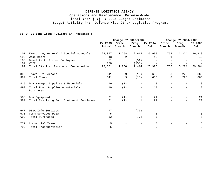#### **VI. OP 32 Line Items (Dollars in Thousands):**

|     |                                              | Change FY 2003/2004 |                   |                          | Change FY 2004/2005 |        |                          |         |
|-----|----------------------------------------------|---------------------|-------------------|--------------------------|---------------------|--------|--------------------------|---------|
|     |                                              | FY 2003             | Price             | Prog                     | FY 2004             | Price  | Prog                     | FY 2005 |
|     |                                              | Actual              | Growth            | Growth                   | Est                 | Growth | Growth                   | Est     |
| 101 | Executive, General & Special Schedule        | 22,057              | 1,258             | 2,615                    | 25,930              | 764    | 3,224                    | 29,918  |
| 103 | Wage Board                                   | 43                  | 2                 |                          | 45                  |        |                          | 46      |
| 106 | Benefits to Former Employees                 | 51                  | $-$               | (51)                     |                     |        |                          |         |
| 107 | VSIP                                         | 150                 | $\equiv$          | (150)                    | $ \,$               |        |                          | $ \,$   |
| 199 | Total Civilian Personnel Compensation        | 22,301              | 1,260             | 2,414                    | 25,975              | 765    | 3,224                    | 29,964  |
| 308 | Travel Of Persons                            | 641                 | 9                 | (15)                     | 635                 | 8      | 223                      | 866     |
| 399 | Total Travel                                 | 641                 | 9                 | (15)                     | 635                 | 8      | 223                      | 866     |
| 415 | DLA Managed Supplies & Materials             | 19                  | (1)               | $\overline{\phantom{m}}$ | 18                  |        | $\qquad \qquad -$        | 18      |
| 499 | Total Fund Supplies & Materials<br>Purchases | 19                  | (1)               | $\qquad \qquad -$        | 18                  |        | $\overline{\phantom{0}}$ | 18      |
| 506 | DLA Equipment                                | 21                  | (1)               | 1                        | 21                  |        |                          | 21      |
| 599 | Total Revolving Fund Equipment Purchases     | 21                  | (1)               | $\mathbf{1}$             | 21                  |        |                          | 21      |
| 647 | DISA Info Services                           | 77                  | $\qquad \qquad -$ | (77)                     |                     |        |                          |         |
| 671 | Comm Services DISA                           | 5                   | $\qquad \qquad -$ |                          | 5                   |        |                          | 5       |
| 699 | Total Purchases                              | 82                  | $\qquad \qquad -$ | (77)                     | 5                   |        |                          | 5       |
| 771 | Commercial Trans                             | 5                   | $\qquad \qquad -$ |                          | 5                   |        |                          | 5       |
| 799 | Total Transportation                         | 5                   |                   |                          | 5                   |        |                          | 5       |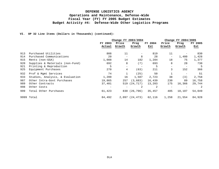#### **VI. OP 32 Line Items (Dollars in Thousands) (continued):**

|     |                                 | Change FY 2003/2004 |                          |                |         |        | Change FY 2004/2005 |         |  |  |
|-----|---------------------------------|---------------------|--------------------------|----------------|---------|--------|---------------------|---------|--|--|
|     |                                 | FY 2003             | Price                    | Prog           | FY 2004 | Price  | Prog                | FY 2005 |  |  |
|     |                                 | Actual              | Growth                   | Growth         | Est     | Growth | Growth              | Est     |  |  |
| 913 | Purchased Utilities             | 808                 | 11                       |                | 819     | 11     |                     | 830     |  |  |
| 914 | Purchased Communications        | 20                  |                          | 8              | 28      | -      | 1,400               | 1,428   |  |  |
| 915 | Rents (non-GSA)                 | 1,088               | 14                       | 182            | 1,284   | 18     | 75                  | 1,377   |  |  |
| 920 | Supplies & Materials (non-Fund) | 692                 | 8                        | (7)            | 693     | 8      | 28                  | 730     |  |  |
| 921 | Printing & Reproduction         | 5                   | $\overline{\phantom{0}}$ |                | 5       | -      | $\qquad \qquad -$   | 5       |  |  |
| 925 | Equipment Purchases             | 270                 | 4                        | (63)           | 211     | 3      | 152                 | 366     |  |  |
| 932 | Prof & Mqmt Services            | 74                  |                          | (25)           | 50      |        |                     | 51      |  |  |
| 933 | Studies, Analysis, & Evaluation | 1,200               | 16                       | 1,507          | 2,723   | 38     | (3)                 | 2,758   |  |  |
| 987 | Other Intra-Govt Purchases      | 19,865              | 257                      | (3, 683)       | 16,439  | 230    | 89                  | 16,758  |  |  |
| 989 | Other Contracts                 | 37,401              |                          | 519 (24,717)   | 13,203  | 175    | 16,366              | 29,744  |  |  |
| 998 | Other Costs                     |                     |                          | 2              | 2       |        |                     | -2      |  |  |
| 999 | Total Other Purchases           | 61,423              |                          | 830 (26,796)   | 35,457  | 485    | 18,107              | 54,049  |  |  |
|     | 9999 Total                      | 84,492              |                          | 2,097 (24,473) | 62,116  | 1,258  | 21,554              | 84,928  |  |  |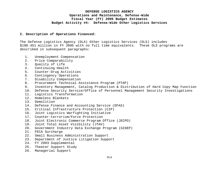#### **I. Description of Operations Financed:**

The Defense Logistics Agency (DLA) Other Logistics Services (OLS) includes \$180.451 million in FY 2005 with no full time equivalents. These OLS programs are described in subsequent paragraphs:

- 1. Unemployment Compensation
- 2. Price Comparability
- 3. Quality of Life
- 4. Continuing Health
- 5. Counter-Drug Activities
- 6. Contingency Operations
- 7. Disability Compensation
- 8. Procurement Technical Assistance Program (PTAP)
- 9. Inventory Management, Catalog Production & Distribution of Hard Copy Map Function
- 10. Defense Security Service/Office of Personnel Management Security Investigations
- 11. Logistics Transformation
- 12. Homeless Blankets
- 13. Demolition
- 14. Defense Finance and Accounting Service (DFAS)
- 15. Critical Infrastructure Protection (CIP)
- 16. Joint Logistics Warfighting Initiative
- 17. Counter-terrorism/Force Protection
- 18. Joint Electronic Commerce Program Office (JECPO)
- 19. Joint Total Asset Visibility (JTAV)
- 20. Government Industry Data Exchange Program (GIDEP)
- 21. FECA Surcharge
- 22. Small Business Administration Support
- 23. Department of Justice Litigation Support
- 24. FY 2003 Supplemental
- 25. Theater Support Study
- 26. Managerial Support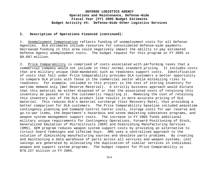#### **I. Description of Operations Financed (continued):**

1. Unemployment Compensation reflects funding of unemployment costs for all Defense Agencies. DLA estimates include resources for consolidated Defense-wide payments. Decreased funding in this area could negatively impact the ability to pay estimated Defense Agency unemployment costs. The budget request for this program in FY 2005 is \$9.887 million.

2. Price Comparability is comprised of costs associated with performing tasks that a commercial company would not include in their normal standard pricing. It includes costs that are military unique (DoD-mandated) such as readiness support costs. Identification of costs that fall under Price Comparability provides DLA customers a better opportunity to compare DLA prices with those in the commercial sector while minimizing risks to readiness. For example, included in this project is the cost of storing inventory for wartime demand only (War Reserve Materiel). A strictly business approach would dictate that this materiel be either disposed of or that the associated costs of retaining this inventory be passed on to the customer(s) requiring it. Removing the cost of retaining this inventory out of the DLA product line results in more accurate pricing of DLA materiel. This reduces DLA's materiel surcharge (Cost Recovery Rate), thus providing a better comparison for DLA customers. The Price Comparability baseline included peacetime contingency planning and Command Control Center costs, storage costs for war reserve and go-to-war items, the Department's hazardous and ozone depleting substances programs, and weapon system management support costs. The increase in FY 2005 funds additional military unique requirements for Contingency Operations, Forward Positioning of Stock, Generalized Emulation of Microcircuits (GEM) and Diminishing Manufacturing Services (DMS). GEM program reduces weapon system support costs by providing an alternative to circuit board redesigns and lifetime buys. DMS uses a centralized approach to the solution of diminishing manufacturing sources and obsolete parts problems. By creating and maintaining a data warehouse of parts across all services and weapon systems, cost savings are generated by alleviating the duplication of similar services in individual weapon and support system programs. The budget request for Price Comparability is \$78.227 million in FY 2005.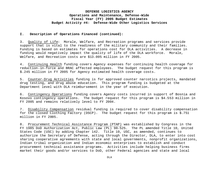#### **I. Description of Operations Financed (continued):**

3. Quality of Life: Morale, Welfare, and Recreation programs and services provide support that is vital to the readiness of the military community and their families. Funding is based on estimates for operations cost for DLA activities. A decrease in funding would negatively impact the quality of life of the DLA workforce. Morale, Welfare, and Recreation costs are \$13.005 million in FY 2005.

4. Continuing Health funding covers Agency expenses for continuing health coverage for reduction-in-force and BRAC affected employees. The budget request for this program is \$.245 million in FY 2005 for Agency estimated health coverage costs.

5. Counter-Drug Activities funding is for approved counter narcotics projects, mandated drug testing, and drug abuse education. This program funding is budgeted at the Department level with DLA reimbursement in the year of execution.

6. Contingency Operations funding covers Agency costs incurred in support of Bosnia and Kosovo contingency operations. The budget request for this program is \$4.553 million in FY 2005 and remains relatively level to FY 2004.

7. Disability Compensation residual funding is required to cover disability compensation for the closed Clothing Factory (DSCP). The budget request for this program is \$.751 million in FY 2005.

8. Procurement Technical Assistance Program (PTAP) was established by Congress in the FY 1985 DoD Authorization Act, Public Law (PL) 98-525. The PL amended Title 10, United States Code (USC) by adding Chapter 142. Title 10, USC, as amended, continues to authorize the Secretary of Defense, acting through the Director, DLA, to enter into cost sharing cooperative agreements with state and local governments, nonprofit organizations, Indian tribal organization and Indian economic enterprises to establish and conduct procurement technical assistance programs. Activities include helping business firms market their goods and/or services to DoD, other Federal agencies and state and local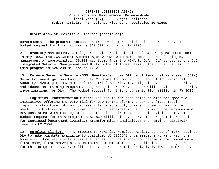#### **I. Description of Operations Financed (continued):**

governments. The program increase in FY 2005 is for additional center awards. The budget request for this program is \$19.597 million in FY 2005.

9. Inventory Management, Catalog Production & Distribution of Hard Copy Map Function: In May 1996, the JCS Combat Support Agency Review Team recommended transferring map management of approximately 70,000 map items from the NIMA to DLA. DLA serves as the DoD Integrated Materiel Management and Distributor of those items. The budget request for this program is \$25.288 million in FY 2005.

10. Defense Security Service (DSS) Fee-For-Service/ Office of Personnel Management (OPM) Security Investigations funding in FY 2003 was for DSS support to DLA for Personnel Security Investigations, National Industrial Security Investigations, and DoD Security and Education Training Programs. Beginning in FY 2004, the OPM will provide the security investigations for DLA. The budget request for this program is \$0.4 million in FY 2005.

11. Logistics Transformation funding request is for conducting studies for specific initiatives offering the potential for DoD to transform the current "mass model" logistics structure into world-class integrated supply chains focused on warfighter needs. Initiatives will compliment ongoing reengineering efforts with the Services and DLA consistent with the Logistics Functional Requirements and Joint Vision 2010. The budget request for this program is \$7.869 million in FY 2005. The program increase is for continued Department logistics transformation initiatives and remains relatively level to FY 2004.

12. Homeless Blankets: The Stewart B. McKinley Homeless Assistance Act of 1987 requires DLA to make blankets available to qualified US 501(C)3 organizations working with the homeless. Homeless shelters issue a request to the Agency and blankets are issued on a first come, first served basis up to the amount of funding available. The budget request for this program is \$3.347 million in FY 2005 and remains relatively level to FY 2004.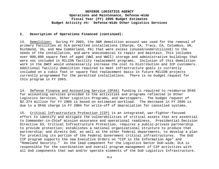#### **I. Description of Operations Financed (continued):**

13. Demolition: During FY 2003, the O&M demolition account was used for the removal of primary facilities at DLA permitted installations (Sharpe, CA, Tracy, CA, Columbus, OH, Richmond, VA, and New Cumberland, PA) that were excess (unused/underutilized) to the needs of the installation, and were uneconomical to repair and maintain. This includes over 900,000 square feet of aged (WWI and WWII) storage and administrative buildings that were not included in MILCON facility replacement programs. Inclusion of this demolition work in the DWCF would unnecessarily increase the cost to Distribution and ICP customers. Additional facility demolition required to meet infrastructure goals is currently included on a cubic foot or square foot replacement basis in future MILCON projects currently programmed for the permitted installations. There is no budget request for this program in FY 2005.

14. Defense Finance and Accounting Service (DFAS) funding is required to reimburse DFAS for accounting services provided to the activities and programs reflected in Other Logistics Services, Other Logistics Programs, and Warstoppers. The budget request of \$2.374 million for FY 2005 is based on estimated workload. The decrease in FY 2005 is due to a DFAS charge in FY 2004 for write-off of depreciation for cancelled systems.

15. Critical Infrastructure Protection (CIP) is an integrated, war-fighter-focused effort to identify and mitigate the vulnerabilities of critical assets that are essential to Commander-in-Chief mission assurance and operational readiness. Presidential Decision Directive 63, Critical Infrastructure Protection, requires a public-private partnership to provide protection; establishes a national organizational structure to produce that partnership; and directs DoD, as well as the other federal departments, to develop a plan for protecting its portion of the Federal Government critical infrastructures. The DoD CIP program supports the new Executive Orders on "CIP in the Information Age" and "Homeland Security." As the lead component for the Logistics Sector DoD-wide, DLA is responsible for the coordination and overall program management of CIP activities with all DoD components that own and/or operate elements of the DoD Logistics Infrastructure.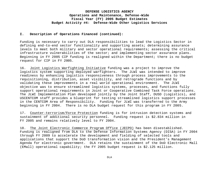#### **I. Description of Operations Financed (continued):**

Funding is necessary to carry out DLA responsibilities to lead the Logistics Sector in defining end-to-end sector functionality and supporting assets; determining assurance levels to meet both military and sector operational requirements; assessing the critical infrastructure vulnerabilities of the sector; and implementing sector assurance plans. Beginning in FY 2005 CIP funding is realigned within the Department; there is no budget request for CIP in FY 2005.

16. Joint Logistics Warfighting Initiative funding was a project to improve the logistics system supporting deployed warfighters. The JLWI was intended to improve readiness by enhancing logistics responsiveness through process improvements to the requisitioning, distribution, asset visibility, and retrograde functions and by validating these improvements in a real world operational environment. The JLWI objective was to ensure streamlined logistics systems, processes, and functions fully support operational requirements in Joint or Cooperative Combined Task Force operations. The JLWI Implementation Plan developed jointly by the Joint Staff, DUSD (Logistics), and USCENTCOM staff provides a blueprint for testing streamlined logistics support processes in the CENTCOM Area of Responsibility. Funding for JLWI was transferred to the Army beginning in FY 2004. There is no DLA budget request for this program in FY 2005.

17. Counter-terrorism/Force Protection funding is for intrusion detection systems and sustainment of additional security personnel. Funding request is \$2.834 million in FY 2005 and remains relatively level to FY 2004.

18. The Joint Electronic Commerce Program Office (JECPO) has been disestablished. Funding is realigned from DLA to the Defense Information Systems Agency (DISA) in FY 2004 through FY 2009 to accelerate the development and fielding of selected tools and applications that support the DoD transformation vision and the President's Management Agenda for electronic government. DLA retains the sustainment of the DoD Electronic Mall (EMall) operational capability; the FY 2005 budget request is \$2.125 million.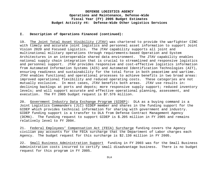#### **I. Description of Operations Financed (continued):**

19. The Joint Total Asset Visibility (JTAV) was chartered to provide the warfighter CINC with timely and accurate joint logistics and personnel asset information to support Joint Vision 2020 and Focused Logistics. The JTAV capability supports all joint and multinational military operations through requirements-based Operation and System Architectures in an interoperable shared data environment. The JTAV capability enables national supply chain integration that is crucial to streamlined and responsive logistics and personnel support. JTAV provides responsive and cost-effective logistics information from Automated Information Systems (AIS) and Automated Identification Technologies (AIT), ensuring readiness and sustainability for the total force in both peacetime and wartime. JTAV enables functional and operational processes to achieve benefits in two broad areas: improved operational flexibility and reduced operating costs. These categories are not mutually exclusive. In most cases, JTAV benefits both areas. JTAV use results in: declining backlogs at ports and depots; more responsive supply support; reduced inventory levels; and will support accurate and effective operational planning, assessment, and execution. The FY 2005 budget request is \$7.576 million.

20. Government Industry Data Exchange Program (GIDEP): DLA as a buying command is a Joint Logistics Commanders (JLC) GIDEP member and shares in the funding support for the GIDEP which provides technical information for sharing with government and industry. GIDEP funding support is a transfer to DLA from Defense Contract Management Agency (DCMA). The funding request to support GIDEP is \$.205 million in FY 2005 and remains relatively level to FY 2004.

21. Federal Employees' Compensation Act (FECA) Surcharge funding covers the Agency civilian pay accounts for the FECA surcharge that the Department of Labor charges each Agency. The budget request for this surcharge is \$2.130 million in FY 2005.

22. Small Business Administration Support funding in FY 2003 was for the Small Business Administration costs incurred to certify small disadvantage business. There is no budget request for this program in FY 2005.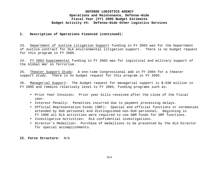#### **I. Description of Operations Financed (continued):**

23. Department of Justice Litigation Support funding in FY 2003 was for the Department of Justice contract for DLA environmental litigation support. There is no budget request for this program in FY 2005.

24. FY 2003 Supplemental funding in FY 2003 was for logistical and military support of the Global War on Terrorism.

25. Theater Support Study: A one-time Congressional add in FY 2004 for a theater support study. There is no budget request for this program in FY 2005.

26. Managerial Support: The budget request for managerial support is \$.038 million in FY 2005 and remains relatively level to FY 2004, funding programs such as:

- Prior Year Invoices: Prior year bills received after the close of the fiscal year.
- Interest Penalty: Penalties incurred due to payment processing delays.
- Official Representation Funds (ORF): Special and official functions or ceremonies attended by DoD personnel and distinguished non-DoD personnel. Beginning in FY 1998 all DLA activities were required to use O&M funds for ORF functions.
- Investigative Activities: DLA confidential investigations.
- Director's Medallion: Purchase of medallions to be presented by the DLA Director for special accomplishments.

**II. Force Structure:** N/A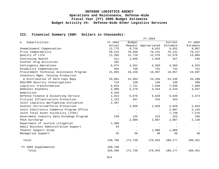#### **III. Financial Summary (O&M: Dollars in thousands):**

|                                           |                          |                          | FY 2004                  |                          |          |  |  |  |
|-------------------------------------------|--------------------------|--------------------------|--------------------------|--------------------------|----------|--|--|--|
| Subactivities:<br>Α.                      | FY 2003                  | Budget                   |                          | Current                  | FY 2005  |  |  |  |
|                                           | Actual                   |                          | Request Appropriated     | Estimate                 | Estimate |  |  |  |
| Unemployment Compensation                 | 12,775                   | 9,728                    | 9,632                    | 9,632                    | 9,887    |  |  |  |
| Price Comparability                       | 36,215                   | 76,948                   | 76,141                   | 76,141                   | 78,227   |  |  |  |
| Quality of Life                           | 11,203                   | 12,710                   | 12,576                   | 12,576                   | 13,005   |  |  |  |
| Continuing Health                         | 311                      | 1,040                    | 1,028                    | 427                      | 245      |  |  |  |
| Counter Drug Activities                   | 282                      | $\overline{a}$           | $\overline{a}$           | $\qquad \qquad -$        |          |  |  |  |
| Contingency Operations                    | 6,074                    | 4,551                    | 4,503                    | 4,503                    | 4,553    |  |  |  |
| Disability Compensation                   | 645                      | 738                      | 731                      | 731                      | 751      |  |  |  |
| Procurement Technical Assistance Program  | 21,055                   | 19,158                   | 18,957                   | 18,957                   | 19,597   |  |  |  |
| Inventory Mgmt, Catalog Production        |                          |                          |                          |                          |          |  |  |  |
| & Distribution of Hard Copy Maps          | 25,081                   | 24,504                   | 24,246                   | 24,246                   | 25,288   |  |  |  |
| DSS/OPM Security Investigations           | 716                      | 138                      | 136                      | 136                      | 400      |  |  |  |
| Logistics Transformation                  | 8,654                    | 7,721                    | 7,640                    | 7,640                    | 7,869    |  |  |  |
| Homeless Blankets                         | 2,980                    | 3,279                    | 3,244                    | 3,244                    | 3,347    |  |  |  |
| Demolition                                | 4,334                    | $\qquad \qquad -$        | $\overline{\phantom{0}}$ | $\overline{\phantom{m}}$ |          |  |  |  |
| Defense Finance & Accounting Service      | 1,014                    | 5,676                    | 5,620                    | 5,620                    | 2,374    |  |  |  |
| Critical Infrastructure Protection        | 1,123                    | 347                      | 343                      | 343                      |          |  |  |  |
| Joint Logistics Warfighting Initiative    | 2,467                    |                          |                          | $\overline{\phantom{0}}$ |          |  |  |  |
| Counter-terrorism/Force Protection        | $\overline{\phantom{m}}$ | 2,850                    | 2,820                    | 2,820                    | 2,834    |  |  |  |
| Joint Electronics Commerce Program Office | $\overline{\phantom{0}}$ |                          | $\overline{\phantom{0}}$ | 2,087                    | 2,125    |  |  |  |
| Joint Total Asset Visibility (JTAV)       |                          |                          | $\overline{\phantom{0}}$ | 7,748                    | 7,576    |  |  |  |
| Government Industry Data Exchange Program | 249                      | 225                      | 223                      | 223                      | 205      |  |  |  |
| FECA Surcharge                            | $\qquad \qquad -$        | 2,089                    | 2,067                    | 2,067                    | 2,130    |  |  |  |
| Department of Justice Litigation          | 1,500                    | $\overline{\phantom{m}}$ | $\overline{\phantom{0}}$ | $\overline{\phantom{m}}$ |          |  |  |  |
| Small Business Administration Support     | 93                       |                          |                          |                          |          |  |  |  |
| Theater Support Study                     | $\overline{\phantom{a}}$ |                          | 1,000                    | 1,000                    |          |  |  |  |
| Managerial Support                        | 25                       | 36                       | 36                       | 36                       | 38       |  |  |  |
| Total                                     | 136,796                  | 171,738                  | 170,943                  | 180,177                  | 180,451  |  |  |  |
| FY 2003 Supplemental                      | 189,700                  |                          |                          |                          |          |  |  |  |
| Total                                     | 326,496                  | 171,738                  | 170,943                  | 180,177                  | 180,451  |  |  |  |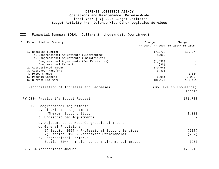#### **III. Financial Summary (O&M: Dollars in thousands): (continued)**

|                 | B. Reconciliation Summary:                       | Change                            | Change                 |
|-----------------|--------------------------------------------------|-----------------------------------|------------------------|
|                 |                                                  | FY 2004/ FY 2004 FY 2004/ FY 2005 |                        |
|                 | 1. Baseline Funding                              | 171,738                           | 180,177                |
|                 | a. Congressional Adjustments (Distributed)       | 1,000                             |                        |
|                 | b. Congressional Adjustments (Undistributed)     |                                   |                        |
|                 | c. Congressional Adjustments (Gen Provisions)    | (1,699)                           |                        |
|                 | d. Congressional Earmark                         | (96)                              |                        |
|                 | 2. Appropriated Amount                           | 170,943                           |                        |
|                 | 3. Approved Transfers                            | 9,835                             |                        |
| 4. Price Change |                                                  |                                   | 2,564                  |
|                 | 5. Program Changes                               | (601)                             | (2, 290)               |
|                 | 6. Current Estimate                              | 180,177                           | 180,451                |
|                 | C. Reconciliation of Increases and Decreases:    |                                   | (Dollars in Thousands) |
|                 |                                                  |                                   | Totals                 |
|                 | FY 2004 President's Budget Request               |                                   | 171,738                |
| $1$ .           | Congressional Adjustments                        |                                   |                        |
|                 | a. Distributed Adjustments                       |                                   |                        |
|                 | Theater Support Study                            |                                   | 1,000                  |
|                 |                                                  |                                   |                        |
|                 | b. Undistributed Adjustments                     |                                   |                        |
|                 | c. Adjustments to Meet Congressional Intent      |                                   |                        |
|                 | d. General Provisions                            |                                   |                        |
|                 | 1) Section 8094 - Professional Support Services  |                                   | (917)                  |
|                 | 2) Section 8126 - Management Efficiencies        |                                   | (782)                  |
|                 | e. Congressional Earmarks                        |                                   |                        |
|                 | Section 8044 - Indian Lands Environmental Impact |                                   | (96)                   |
|                 |                                                  |                                   |                        |
|                 | FY 2004 Appropriated Amount                      |                                   | 170,943                |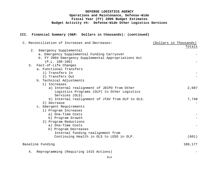### **III. Financial Summary (O&M: Dollars in thousands): (continued)**

|    | C. Reconciliation of Increases and Decreases:        | (Dollars in Thousands) |
|----|------------------------------------------------------|------------------------|
|    |                                                      | Totals                 |
| 2. | Emergency Supplemental                               |                        |
|    | a. Emergency Supplemental Funding Carryover          |                        |
|    | b. FY 2004 Emergency Supplemental Appropriations Act |                        |
|    | $(P.L. 108-106)$                                     |                        |
| 3. | Fact-of-Life Changes                                 |                        |
|    | a. Functional Transfers                              |                        |
|    | 1) Transfers In                                      |                        |
|    | 2) Transfers Out                                     |                        |
|    | b. Technical Adjustments                             |                        |
|    | 1) Increases                                         |                        |
|    | a) Internal realignment of JECPO from Other          | 2,087                  |
|    | Logistics Programs (OLP) to Other Logistics          |                        |
|    | Services (OLS).                                      |                        |
|    | b) Internal realignment of JTAV from OLP to OLS.     | 7,748                  |
|    | 2) Decrease                                          |                        |
|    | c. Emergent Requirements                             |                        |
|    | 1) Program Increases                                 |                        |
|    | a) One-Time Costs                                    |                        |
|    | b) Program Growth                                    |                        |
|    | 2) Program Reductions                                |                        |
|    | a) One-Time Costs                                    |                        |
|    | b) Program Decreases                                 |                        |
|    | Internal funding realignment from                    |                        |
|    | Continuing Health in OLS to LESO in OLP.             | (601)                  |
|    | Baseline Funding                                     | 180,177                |
| 4. | Reprogramming (Requiring 1415 Actions)               |                        |
|    |                                                      |                        |

DLA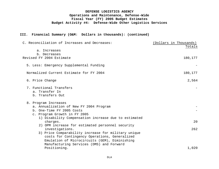# **III. Financial Summary (O&M: Dollars in thousands): (continued)**

| C. Reconciliation of Increases and Decreases:                                                                                                                               | (Dollars in Thousands)<br>Totals |
|-----------------------------------------------------------------------------------------------------------------------------------------------------------------------------|----------------------------------|
| a. Increases<br>b. Decreases                                                                                                                                                |                                  |
| Revised FY 2004 Estimate                                                                                                                                                    | 180,177                          |
| 5. Less: Emergency Supplemental Funding                                                                                                                                     |                                  |
| Normalized Current Estimate for FY 2004                                                                                                                                     | 180,177                          |
| 6. Price Change                                                                                                                                                             | 2,564                            |
| 7. Functional Transfers<br>a. Transfer In<br>b. Transfers Out                                                                                                               |                                  |
| 8. Program Increases<br>a. Annualization of New FY 2004 Program<br>b. One-Time FY 2005 Costs<br>c. Program Growth in FY 2005                                                |                                  |
| 1) Disability Compensation increase due to estimated<br>charges.                                                                                                            | 20                               |
| 2) OPM increase for estimated personnel security<br>investigations.<br>3) Price Comparability increase for military unique<br>costs for Contingency Operations, Generalized | 262                              |
| Emulation of Microcircuits (GEM), Diminishing<br>Manufacturing Services (DMS) and Forward<br>Positioning.                                                                   | 1,020                            |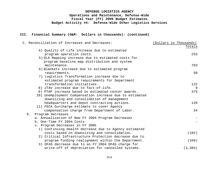#### **III. Financial Summary (O&M: Dollars in thousands): (continued)**

| C. Reconciliation of Increases and Decreases:           | (Dollars in Thousands) |
|---------------------------------------------------------|------------------------|
|                                                         | Totals                 |
| 4) Quality of Life increase due to estimated            |                        |
| program operation costs.                                | 253                    |
| 5) DLA Mapping increase due to estimated costs for      |                        |
| program baseline map distribution and system            |                        |
| maintenance.                                            | 703                    |
| 6) Blankets increase due to estimated program           |                        |
| requirements.                                           | 58                     |
| 7) Logistics Transformation increase due to             |                        |
| estimated program requirements for Department           |                        |
| transformation initiatives.                             | 122                    |
| 8) JTAV increase due to fact-of-life.                   | 9                      |
| 9) PTAP increase based on estimated center awards.      | 375                    |
| 10) Unemployment Compensation increase due to estimated |                        |
| downsizing and consolidation of management              |                        |
| headquarters and depot contracting actions.             | 120                    |
| 11) FECA Surcharge estimate to cover Agency             |                        |
| compensation charge from Department of Labor.           | 34                     |
| Program Decreases<br>9.                                 |                        |
| a. Annualization of New FY 2004 Program Decreases       |                        |
| b. One-Time FY 2004 Costs                               |                        |
| c. Program Decreases in FY 2005                         |                        |
| 1) Continuing Health decrease due to Agency estimated   |                        |
| costs based on downsizing and consolidation.            | (182)                  |
| 2) Critical Infrastructure Protection decrease due to   |                        |
| program funding realignment within the Department.      | (348)                  |
| 3) DFAS decrease due to an FY 2004 DFAS charge for      |                        |
| write-off of depreciation for cancelled systems.        | (3, 383)               |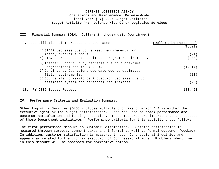#### **III. Financial Summary (O&M: Dollars in thousands): (continued)**

|     | C. Reconciliation of Increases and Decreases:                              | (Dollars in Thousands) |
|-----|----------------------------------------------------------------------------|------------------------|
|     |                                                                            | Totals                 |
|     | 4) GIDEP decrease due to revised requirements for                          |                        |
|     | Agency program support.                                                    | (21)                   |
|     | 5) JTAV decrease due to estimated program requirements.                    | (280)                  |
|     | 6) Theater Support Study decrease due to a one-time                        |                        |
|     | Congressional add in FY 2004.                                              | (1, 014)               |
|     | 7) Contingency Operations decrease due to estimated<br>field requirements. | (13)                   |
|     | 8) Counter-terrorism/Force Protection decrease due to                      |                        |
|     | estimated system and personnel requirements.                               | (25)                   |
| 10. | FY 2005 Budget Request                                                     | 180,451                |

#### **IV. Performance Criteria and Evaluation Summary:**

Other Logistics Services (OLS) includes multiple programs of which DLA is either the executive agent or the budget administrator. Measures used to track performance are customer satisfaction and funding execution. These measures are important to the success of these Department initiatives. Performance criteria for this activity group follow:

The first performance measure is Customer Satisfaction. Customer satisfaction is measured through surveys, comment cards and informal as well as formal customer feedback. In addition, customer satisfaction is measured through Congressional inquiries and appeals as related to the program execution of Congressional adds. Problems identified in this measure will be assessed for corrective action.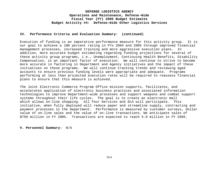#### **IV. Performance Criteria and Evaluation Summary: (continued)**

Execution of funding is an imperative performance measure for this activity group. It is our goal to achieve a 100 percent rating in FYs 2004 and 2005 through improved financial management processes, increased training and more aggressive execution plans. In addition, more accurate budget estimating regarding funding projections for several of these activity group programs, i.e., Unemployment, Continuing Health Benefits, Disability Compensation, is an important factor of execution. We will continue to strive to become more accurate in factoring in Department and Agency initiatives and the impact of these initiatives on these programs. We will continue tracking trends and reviewing aged accounts to ensure previous funding levels were appropriate and adequate. Programs performing at less than projected execution rates will be required to reassess financial plans to ensure that this measure is achieved.

The Joint Electronic Commerce Program Office mission supports, facilitates, and accelerates application of electronic business practices and associated information technologies to improve Department-wide processes and support weapons and combat support systems throughout their life cycles. The goal is to create an electronic mall which allows on-line shopping. All four Services and DLA will participate. This initiative, when fully deployed will reduce paper and streamline supply, contracting and payment processes in the Department. Performance is measured by customer surveys, dollar value of on-line sales and the value of on-line transactions. We anticipate sales of \$750 million in FY 2005. Transactions are expected to reach 5.0 million in FY 2005.

#### **V. Personnel Summary:** N/A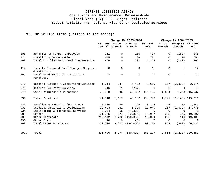#### **VI. OP 32 Line Items (Dollars in Thousands):**

|      |                                                       |         | Change FY 2003/2004 |            |          | Change FY 2004/2005 |                 |                    |
|------|-------------------------------------------------------|---------|---------------------|------------|----------|---------------------|-----------------|--------------------|
|      |                                                       | FY 2003 | Price               | Program    | FY 2004  | Price               | Program FY 2005 |                    |
|      |                                                       | Actual  | Growth              | Growth     | Est      | Growth              | Growth          | Est                |
| 106  | Benefits to Former Employees                          | 311     | $\mathbf 0$         | 116        | 427      | $\Omega$            | (182)           | 245                |
| 111  | Disability Compensation                               | 645     | $\Omega$            | 86         | 731      | $\Omega$            | 20              | 751                |
| 199  | Total Civilian Personnel Compensation                 | 956     | $\Omega$            | 202        | 1,158    | $\Omega$            | (162)           | 996                |
| 417  | Locally Procured Fund Managed Supplies<br>& Materials | 8       | $\Omega$            | 3          | 11       | $\mathbf 0$         | $\mathbf{1}$    | 12                 |
| 499  | Total Fund Supplies & Materials<br>Purchases          | 8       | $\mathbf 0$         | 3          | 11       | $\mathbf 0$         | $\mathbf{1}$    | 12                 |
| 673  | Defense Finance & Accounting Services                 | 1,014   | 144                 | 4,462      | 5,620    | 137                 | (3, 383)        | 2,374              |
| 678  | Defense Security Services                             | 716     | 21                  | (737)      | $\Omega$ | $\mathbf 0$         | $\mathbf 0$     | $\Omega$           |
| 679  | Cost Reimbursable Purchases                           | 72,788  | 946                 | 39,382     | 113,116  | 1,584               |                 | 2,238 116,937      |
| 699  | Total Purchases                                       | 74,518  | 1,111               | 43,107     | 118,736  | 1,721               |                 | $(1, 145)$ 119,311 |
| 920  | Supplies & Material (Non-Fund)                        | 2,980   | 39                  | 225        | 3,244    | 45                  | 58              | 3,347              |
| 933  | Studies, Analysis & Evaluations                       | 12,493  | 162                 | 6,385      | 19,040   | 267                 | (1, 532)        | 17,775             |
| 934  | Engineering & Technical Services                      | 4,334   | 56                  | (4, 390)   | $\Omega$ | $\Omega$            | $\overline{0}$  | $\overline{0}$     |
| 988  | Grants                                                | 21,055  | 274                 | (2, 372)   | 18,957   | 265                 | 375             | 19,597             |
| 989  | Other Contracts                                       | 210,142 | 2,732               | (193, 850) | 19,024   | 266                 | 116             | 19,406             |
| 998  | Other Costs                                           | 10      | 0                   | (3)        | 7        | $\mathbf 0$         | $\mathbf 0$     | $\overline{7}$     |
| 999  | Total Other Purchases                                 | 251,014 | 3,263               | (194,005)  | 60,272   | 843                 | (983)           | 60,132             |
| 9999 | Total                                                 | 326,496 | 4,374               | (150, 693) | 180,177  | 2,564               |                 | $(2, 290)$ 180,451 |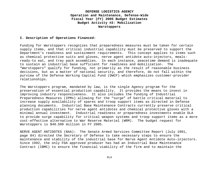#### **I. Description of Operations Financed:**

Funding for Warstoppers recognizes that preparedness measures must be taken for certain supply items, and that critical industrial capability must be preserved to support the Department's readiness and sustainment requirements. This concept applies to items such as chemical protective suits and gloves, nerve agent antidote auto-injectors, mealsready-to eat, and tray pack assemblies. In each instance, peacetime demand is inadequate to sustain an industrial base sufficient for readiness and mobilization. The "Warstoppers" qualify for funding, not primarily as the result of reasonable business decisions, but as a matter of national security, and therefore, do not fall within the purview of the Defense Working Capital Fund (DWCF) which emphasizes customer-provider relationships.

The Warstoppers program, mandated by law, is the single Agency program for the preservation of essential production capability. It provides the means to invest in improving industry responsiveness. It also includes the funding of Industrial Preparedness Measures (IPMs) allowing for the "surge" of battle critical material to increase supply availability of spares and troop support items as directed in Defense planning documents. Industrial Base Maintenance Contracts currently preserve critical production capabilities for nerve agent antidotes and chemical protective gloves with a minimal annual investment. Industrial readiness or preparedness investments enable DLA to provide surge capability for critical weapon systems and troop support items as a more cost-effective alternative to War Reserve Materiel (WRM). The budget request for Warstoppers is \$40.599 million in FY 2005.

NERVE AGENT ANTIDOTES (NAA): The Senate Armed Services Committee Report (July 1991, page 84) directed the Secretary of Defense to take necessary steps to ensure the maintenance and stability of the industrial base for Nerve Agent Antidote Auto-injectors. Since 1992, the only FDA approved producer has had an Industrial Base Maintenance Contract (IBMC) to ensure the financial viability of the firm and to maintain the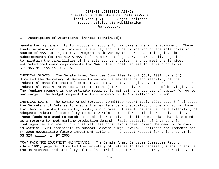#### **I. Description of Operations Financed (continued):**

manufacturing capability to produce injectors for wartime surge and sustainment. These funds maintain critical process capability and FDA certification of the sole domestic source of NAA autoinjectors. Program is driven by the purchase of long-leadtime subcomponents for the new ATNAA dual chamber autoinjector, contractually negotiated cost to maintain the capabilities of the sole source provider, and to meet the Services estimated go-to-war requirements for NAA. The budget request for this program is \$11.855 million in FY 2005.

CHEMICAL GLOVES: The Senate Armed Services Committee Report (July 1991, page 84) directed the Secretary of Defense to ensure the maintenance and stability of the industrial base for chemical protective suits, boots, and gloves. The resources support Industrial Base Maintenance Contracts (IBMCs) for the only two sources of butyl gloves. The funding request is the estimate required to maintain the sources of supply for go-towar surge. The budget request for this program is \$4.402 million in FY 2005.

CHEMICAL SUITS: The Senate Armed Services Committee Report (July 1991, page 84) directed the Secretary of Defense to ensure the maintenance and stability of the industrial base for chemical protective suits, boots, and gloves. These funds ensure the availability of adequate industrial capability to meet wartime demand for chemical protective suits. These funds are used to purchase chemical protective suit liner material that is stored as a reserve to meet wartime production demand. Rapid depletion of inventory for contingencies and emerging industrial base constraints have driven the need to reinvest in Chemical Suit components to support Service surge levels. Estimated requirements for FY 2005 necessitate future investment actions. The budget request for this program is \$3.329 million in FY 2005.

TRAY PACK/MRE EQUIPMENT MAINTENANCE: The Senate Armed Services Committee Report (July 1991, page 84) directed the Secretary of Defense to take necessary steps to ensure the maintenance and stability of the industrial base for MREs and Tray Pack rations. The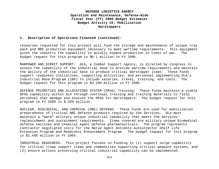#### **I. Description of Operations Financed (continued):**

resources requested for this project will fund the storage and maintenance of unique tray pack and MRE production equipment necessary to meet wartime requirements. This equipment gives the industry the capability to quickly expand production in times of war. The budget request for this program is \$0.1 million in FY 2005.

MANPOWER AND DIRECT SUPPORT: DLA, a Combat Support Agency, is directed by Congress to assess the capability of the industrial base to provide wartime requirements and maintain the ability of the industrial base to produce critical Warstopper items. These funds support readiness initiatives, supporting activities, and personnel implementing DLA's Industrial Base Program (IBP) to include salaries, travel, training, and tools. The budget request for this program is \$3.266 million in FY 2005.

DEFENSE PRIORITIES AND ALLOCATIONS SYSTEM (DPAS) Training: These funds maintain a viable DPAS capability within DLA through continual training and training materials to field personnel that manage and execute the DPAS for Warstoppers. The budget request for this program in FY 2005 is \$.030 million.

NUCLEAR, BIOLOGICAL, AND CHEMICAL (NBC) DEFENSE: These funds are used for mobilization preparedness of critical NBC Defense products required by the Services. DLA must maintain a "warm" military unique industrial capability that meets the Services' replenishment and sustainment requirements. Items covered are military unique biomedical defense vaccines and chemical agent defense pharmaceuticals. The program represents contractor negotiated costs for the Nerve Agent Antidote Autoinjector Shelf Life Extension Program and Readiness Enhancement Program. The budget request for this program is \$2.465 million in FY 2005.

INDUSTRIAL READINESS: This project focuses on funding to (1) support surge capability for critical troop support items and commodities supporting critical weapons systems, and (2) ensure actions preserving critical industrial capability can be implemented.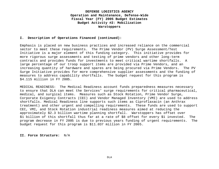#### **I. Description of Operations Financed (continued):**

Emphasis is placed on new business practices and increased reliance on the commercial sector to meet these requirements. The Prime Vendor (PV) Surge Assessment/Test Initiative is a major element of this funding category. This initiative provides for more rigorous surge assessments and testing of prime vendors and other long-term contracts and provides funds for investments to meet critical wartime shortfalls. A large percentage of our troop support items are provided via Prime Vendors, and an increasing quantity of hardware and spares are being procured via Prime Vendors. The PV Surge Initiative provides for more comprehensive supplier assessments and the funding of measures to address capability shortfalls. The budget request for this program is \$4.115 million in FY 2005.

MEDICAL READINESS: The Medical Readiness account funds preparedness measures necessary to ensure that DLA can meet the Services' surge requirements for critical pharmaceutical, medical, and surgical items. Measures such as Stock Rotation, Prime Vendor Surge, Corporate Exigency Contracts (CEC) and Vendor Managed Inventory (VMI) are used to address shortfalls. Medical Readiness line supports such items as Ciproflaxacin (an Anthrax treatment) and other urgent and compelling requirements. These funds are used to support CEC, VMI, and Stock Rotation industrial readiness measures aimed at reducing the approximately \$2.3 billion wartime planning shortfall.Warstoppers has offset over \$1 billion of this shortfall thus far at a rate of \$8 offset for every \$1 invested.The program decrease in FY 2005 is due to previous years funding of urgent requirements. The budget request for this program is \$11.037 million in FY 2005.

#### **II. Force Structure:** N/A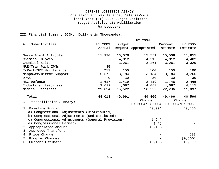#### **III. Financial Summary (O&M: Dollars in Thousands):**

FY 2004 A. Subactivities: FY 2003 Actual Budget Request Appropriated Estimate Current FY 2005 Estimate Nerve Agent Antidote 11,920 16,076 15,551 10,508 11,855 Chemical Gloves - 4,312 4,312 4,312 4,402 Chemical Suits - 3,261 3,261 3,261 3,329 MRE/Tray Pack IPMs 45 - - - - T-Pack/MRE Maintenance 211 100 100 100 100 Manpower/Direct Support 5,572 3,184 3,184 3,184 3,266 DPAS 0 30 30 30 30 NBC Defense 2,405 Industrial Readiness 3,629 4,087 4,087 4,087 4,115 Medical Readiness 21,024 16,522 16,522 22,236 11,037 Total 44,018 49,991 49,466 49,466 40,599 B. Reconciliation Summary: Change FY 2004/FY 2004 FY 2004/FY 2005 Change 1. Baseline Funding 49,991 49,466 a) Congressional Adjustments (Distributed) b) Congressional Adjustments (Undistributed) c) Congressional Adjustments (General Provision) (494) d) Congressional Earmark (31) -

2. Appropriated Amount 49,466 3. Approved Transfers 4. Price Change 693 5. Program Changes - (9,560) 6. Current Estimate 49,466 40,599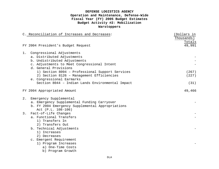|       | C. Reconciliation of Increases and Decreases:    | (Dollars in |
|-------|--------------------------------------------------|-------------|
|       |                                                  | Thousands)  |
|       |                                                  | Totals      |
|       | FY 2004 President's Budget Request               | 49,991      |
| 1.    | Congressional Adjustments                        |             |
|       | a. Distributed Adjustments                       |             |
|       | b. Undistributed Adjustments                     |             |
|       | c. Adjustments to Meet Congressional Intent      |             |
|       | d. General Provisions                            |             |
|       | 1) Section 8094 - Professional Support Services  | (267)       |
|       | 2) Section 8126 - Management Efficiencies        | (227)       |
|       | e. Congressional Earmarks                        |             |
|       | Section 8044 - Indian Lands Environmental Impact | (31)        |
|       | FY 2004 Appropriated Amount                      | 49,466      |
| $2$ . | Emergency Supplemental                           |             |
|       | a. Emergency Supplemental Funding Carryover      |             |
|       | b. FY 2004 Emergency Supplemental Appropriations |             |
|       | Act (P.L. 108-106)                               |             |
|       | 3. Fact-of-Life Changes                          |             |
|       | a. Functional Transfers                          |             |
|       | 1) Transfers In                                  |             |
|       | 2) Transfers Out                                 |             |
|       | b. Technical Adjustments                         |             |
|       | 1) Increases                                     |             |
|       | 2) Decreases                                     |             |
|       | c. Emergent Requirement                          |             |
|       | 1) Program Increases                             |             |
|       | a) One-Time Costs                                |             |
|       | b) Program Growth                                |             |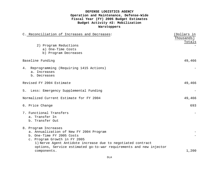| C. Reconciliation of Increases and Decreases:                                                                                                                                                                                                                     | (Dollars in<br>Thousands) |
|-------------------------------------------------------------------------------------------------------------------------------------------------------------------------------------------------------------------------------------------------------------------|---------------------------|
| 2) Program Reductions<br>a) One-Time Costs<br>b) Program Decreases                                                                                                                                                                                                | Totals                    |
| Baseline Funding                                                                                                                                                                                                                                                  | 49,466                    |
| Reprogramming (Requiring 1415 Actions)<br>4.<br>a. Increases<br>b. Decreases                                                                                                                                                                                      |                           |
| Revised FY 2004 Estimate                                                                                                                                                                                                                                          | 49,466                    |
| 5. Less: Emergency Supplemental Funding                                                                                                                                                                                                                           |                           |
| Normalized Current Estimate for FY 2004                                                                                                                                                                                                                           | 49,466                    |
| 6. Price Change                                                                                                                                                                                                                                                   | 693                       |
| 7. Functional Transfers<br>a. Transfer In<br>b. Transfer Out                                                                                                                                                                                                      |                           |
| 8. Program Increases<br>a. Annualization of New FY 2004 Program<br>b. One-Time FY 2005 Costs<br>c. Program Growth in FY 2005<br>1) Nerve Agent Antidote increase due to negotiated contract<br>options, Service estimated go-to-war requirements and new injector |                           |
| components.                                                                                                                                                                                                                                                       | 1,200                     |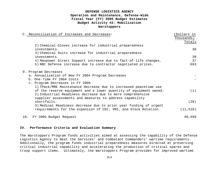|     | C. Reconciliation of Increases and Decreases:                                                                                                                                                                                                                  | (Dollars in<br>Thousands) |
|-----|----------------------------------------------------------------------------------------------------------------------------------------------------------------------------------------------------------------------------------------------------------------|---------------------------|
|     |                                                                                                                                                                                                                                                                | Totals                    |
|     | 2) Chemical Gloves increase for industrial preparedness                                                                                                                                                                                                        |                           |
|     | investments.                                                                                                                                                                                                                                                   | 30                        |
|     | 3) Chemical Suits increase for industrial preparedness                                                                                                                                                                                                         |                           |
|     | investments.                                                                                                                                                                                                                                                   | 20                        |
|     | 4) Manpower Direct Support increase due to fact-of-life changes.                                                                                                                                                                                               | 37                        |
|     | 5) NBC Defense increase due to contractor negotiated prices.                                                                                                                                                                                                   | 693                       |
|     | 9. Program Decreases<br>a. Annualization of New FY 2004 Program Decreases<br>b. One-Time FY 2004 Costs<br>c. Program Decreases in FY 2005                                                                                                                      |                           |
|     | 1) TPack/MRE Maintenance decrease due to increased peacetime use<br>of the reserve equipment and a lower quantity of equipment owned.<br>2) Industrial Readiness decrease due to more comprehensive<br>supplier assessments and measures to address capability | (1)                       |
|     | shortfalls.                                                                                                                                                                                                                                                    | (29)                      |
|     | 3) Medical Readiness decrease due to prior year funding of urgent<br>requirements for the expansion of CEC, VMI, and Stock Rotation.                                                                                                                           | (11, 510)                 |
| 19. | FY 2005 Budget Request                                                                                                                                                                                                                                         | 40,599                    |

#### **IV. Performance Criteria and Evaluation Summary**

The Warstoppers Program funds activities aimed at assessing the capability of the Defense Logistics Agency to meet the Services' and Combatant Commanders' wartime requirements. Additionally, the program funds industrial preparedness measures directed at preserving critical industrial capability and accelerating the production of critical spares and troop support items. Ultimately, the Warstoppers Program provides for improved wartime